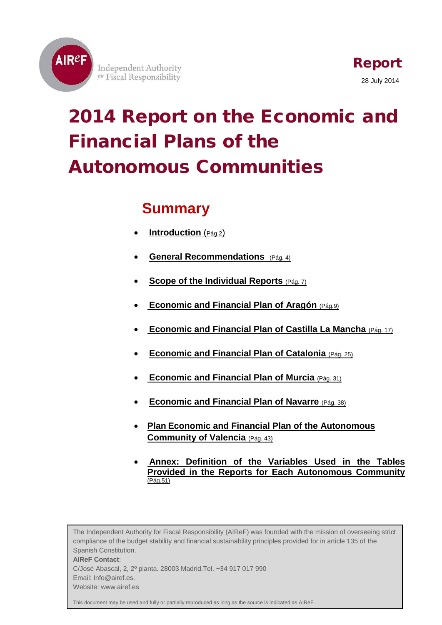

**Independent Authority** for Fiscal Responsibility

# 2014 Report on the Economic and Financial Plans of the Autonomous Communities

# **Summary**

- **[Introduction](#page-1-0)** (Pág.2)
- **[General Recommendations](#page-3-0)** (Pág. 4)
- **[Scope of the Individual Reports](#page-6-0)** (Pág. 7)
- **[Economic and Financial Plan of Aragón](#page-8-0)** (Pág.9)
- **[Economic and Financial Plan of Castilla La Mancha](#page-16-0)** (Pág. 17)
- **[Economic and Financial Plan of Catalonia](#page-24-0)** (Pág. 25)
- **[Economic and Financial Plan of Murcia](#page-30-0)** (Pág. 31)
- **[Economic and Financial Plan of Navarre](#page-37-0)** (Pág. 38)
- **Plan [Economic and Financial Plan of the Autonomous](#page-42-0)  [Community of](#page-42-0) Valencia** (Pág. 43)
- **[Annex: Definition of the Variables Used in the Tables](#page-50-0)  [Provided in the Reports for Each Autonomous Community](#page-50-0)** [\(Pág.51\)](#page-50-0)

The Independent Authority for Fiscal Responsibility (AIReF) was founded with the mission of overseeing strict compliance of the budget stability and financial sustainability principles provided for in article 135 of the Spanish Constitution. **AIReF Contact**: C/José Abascal, 2, 2º planta. 28003 Madrid.Tel. +34 917 017 990 Email: Info@airef.es. Website: www.airef.es

This document may be used and fully or partially reproduced as long as the source is indicated as AIReF.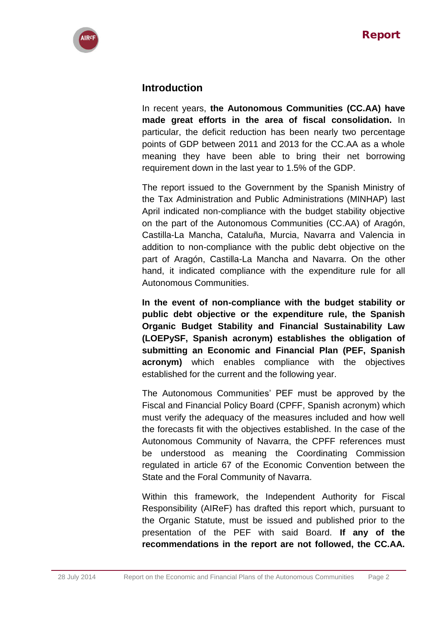<span id="page-1-0"></span>

# **Introduction**

In recent years, **the Autonomous Communities (CC.AA) have made great efforts in the area of fiscal consolidation.** In particular, the deficit reduction has been nearly two percentage points of GDP between 2011 and 2013 for the CC.AA as a whole meaning they have been able to bring their net borrowing requirement down in the last year to 1.5% of the GDP.

The report issued to the Government by the Spanish Ministry of the Tax Administration and Public Administrations (MINHAP) last April indicated non-compliance with the budget stability objective on the part of the Autonomous Communities (CC.AA) of Aragón, Castilla-La Mancha, Cataluña, Murcia, Navarra and Valencia in addition to non-compliance with the public debt objective on the part of Aragón, Castilla-La Mancha and Navarra. On the other hand, it indicated compliance with the expenditure rule for all Autonomous Communities.

**In the event of non-compliance with the budget stability or public debt objective or the expenditure rule, the Spanish Organic Budget Stability and Financial Sustainability Law (LOEPySF, Spanish acronym) establishes the obligation of submitting an Economic and Financial Plan (PEF, Spanish acronym)** which enables compliance with the objectives established for the current and the following year.

The Autonomous Communities' PEF must be approved by the Fiscal and Financial Policy Board (CPFF, Spanish acronym) which must verify the adequacy of the measures included and how well the forecasts fit with the objectives established. In the case of the Autonomous Community of Navarra, the CPFF references must be understood as meaning the Coordinating Commission regulated in article 67 of the Economic Convention between the State and the Foral Community of Navarra.

Within this framework, the Independent Authority for Fiscal Responsibility (AIReF) has drafted this report which, pursuant to the Organic Statute, must be issued and published prior to the presentation of the PEF with said Board. **If any of the recommendations in the report are not followed, the CC.AA.**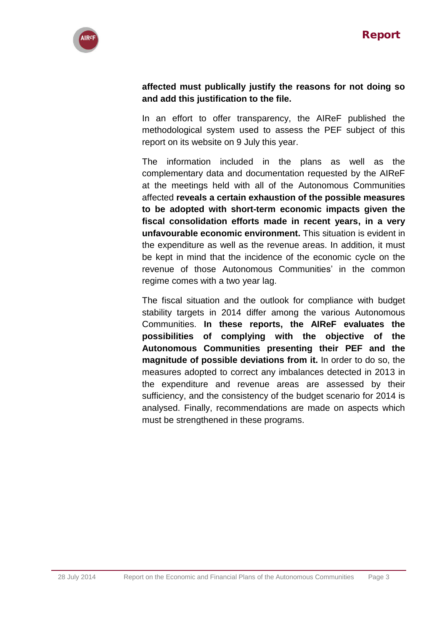

# **affected must publically justify the reasons for not doing so and add this justification to the file.**

In an effort to offer transparency, the AIReF published the methodological system used to assess the PEF subject of this report on its website on 9 July this year.

The information included in the plans as well as the complementary data and documentation requested by the AIReF at the meetings held with all of the Autonomous Communities affected **reveals a certain exhaustion of the possible measures to be adopted with short-term economic impacts given the fiscal consolidation efforts made in recent years, in a very unfavourable economic environment.** This situation is evident in the expenditure as well as the revenue areas. In addition, it must be kept in mind that the incidence of the economic cycle on the revenue of those Autonomous Communities' in the common regime comes with a two year lag.

The fiscal situation and the outlook for compliance with budget stability targets in 2014 differ among the various Autonomous Communities. **In these reports, the AIReF evaluates the possibilities of complying with the objective of the Autonomous Communities presenting their PEF and the magnitude of possible deviations from it.** In order to do so, the measures adopted to correct any imbalances detected in 2013 in the expenditure and revenue areas are assessed by their sufficiency, and the consistency of the budget scenario for 2014 is analysed. Finally, recommendations are made on aspects which must be strengthened in these programs.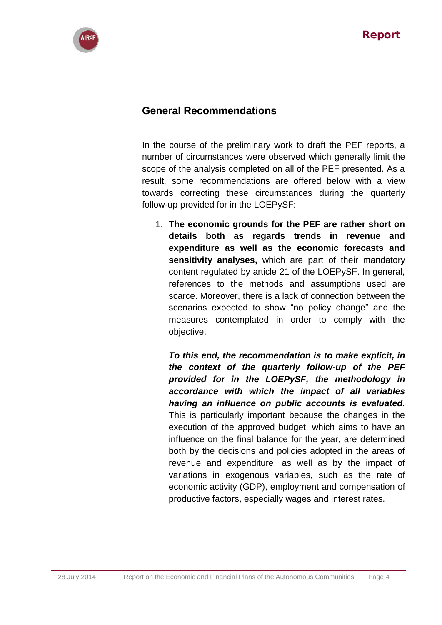<span id="page-3-0"></span>

# **General Recommendations**

In the course of the preliminary work to draft the PEF reports, a number of circumstances were observed which generally limit the scope of the analysis completed on all of the PEF presented. As a result, some recommendations are offered below with a view towards correcting these circumstances during the quarterly follow-up provided for in the LOEPySF:

1. **The economic grounds for the PEF are rather short on details both as regards trends in revenue and expenditure as well as the economic forecasts and sensitivity analyses,** which are part of their mandatory content regulated by article 21 of the LOEPySF. In general, references to the methods and assumptions used are scarce. Moreover, there is a lack of connection between the scenarios expected to show "no policy change" and the measures contemplated in order to comply with the objective.

*To this end, the recommendation is to make explicit, in the context of the quarterly follow-up of the PEF provided for in the LOEPySF, the methodology in accordance with which the impact of all variables having an influence on public accounts is evaluated.* This is particularly important because the changes in the execution of the approved budget, which aims to have an influence on the final balance for the year, are determined both by the decisions and policies adopted in the areas of revenue and expenditure, as well as by the impact of variations in exogenous variables, such as the rate of economic activity (GDP), employment and compensation of productive factors, especially wages and interest rates.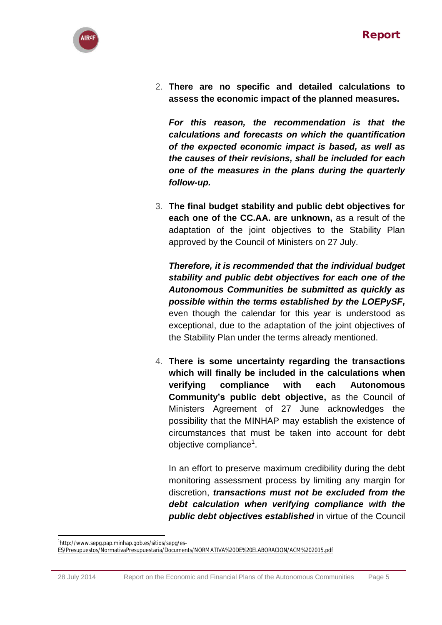

2. **There are no specific and detailed calculations to assess the economic impact of the planned measures.**

*For this reason, the recommendation is that the calculations and forecasts on which the quantification of the expected economic impact is based, as well as the causes of their revisions, shall be included for each one of the measures in the plans during the quarterly follow-up.*

3. **The final budget stability and public debt objectives for each one of the CC.AA. are unknown,** as a result of the adaptation of the joint objectives to the Stability Plan approved by the Council of Ministers on 27 July.

*Therefore, it is recommended that the individual budget stability and public debt objectives for each one of the Autonomous Communities be submitted as quickly as possible within the terms established by the LOEPySF,* even though the calendar for this year is understood as exceptional, due to the adaptation of the joint objectives of the Stability Plan under the terms already mentioned.

4. **There is some uncertainty regarding the transactions which will finally be included in the calculations when verifying compliance with each Autonomous Community's public debt objective,** as the Council of Ministers Agreement of 27 June acknowledges the possibility that the MINHAP may establish the existence of circumstances that must be taken into account for debt objective compliance<sup>1</sup>.

In an effort to preserve maximum credibility during the debt monitoring assessment process by limiting any margin for discretion, *transactions must not be excluded from the debt calculation when verifying compliance with the public debt objectives established* in virtue of the Council

1

<sup>1</sup> [http://www.sepg.pap.minhap.gob.es/sitios/sepg/es-](http://www.sepg.pap.minhap.gob.es/sitios/sepg/es-ES/Presupuestos/NormativaPresupuestaria/Documents/NORMATIVA%20DE%20ELABORACION/ACM%202015.pdf)

[ES/Presupuestos/NormativaPresupuestaria/Documents/NORMATIVA%20DE%20ELABORACION/ACM%202015.pdf](http://www.sepg.pap.minhap.gob.es/sitios/sepg/es-ES/Presupuestos/NormativaPresupuestaria/Documents/NORMATIVA%20DE%20ELABORACION/ACM%202015.pdf)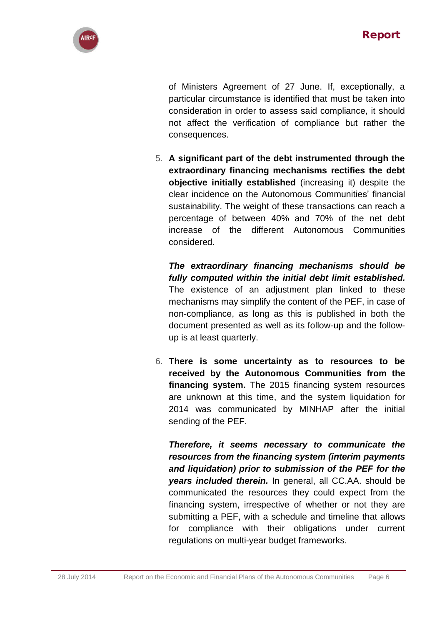

of Ministers Agreement of 27 June. If, exceptionally, a particular circumstance is identified that must be taken into consideration in order to assess said compliance, it should not affect the verification of compliance but rather the consequences.

5. **A significant part of the debt instrumented through the extraordinary financing mechanisms rectifies the debt objective initially established** (increasing it) despite the clear incidence on the Autonomous Communities' financial sustainability. The weight of these transactions can reach a percentage of between 40% and 70% of the net debt increase of the different Autonomous Communities considered.

*The extraordinary financing mechanisms should be fully computed within the initial debt limit established.* The existence of an adjustment plan linked to these mechanisms may simplify the content of the PEF, in case of non-compliance, as long as this is published in both the document presented as well as its follow-up and the followup is at least quarterly.

6. **There is some uncertainty as to resources to be received by the Autonomous Communities from the financing system.** The 2015 financing system resources are unknown at this time, and the system liquidation for 2014 was communicated by MINHAP after the initial sending of the PEF.

*Therefore, it seems necessary to communicate the resources from the financing system (interim payments and liquidation) prior to submission of the PEF for the years included therein.* In general, all CC.AA. should be communicated the resources they could expect from the financing system, irrespective of whether or not they are submitting a PEF, with a schedule and timeline that allows for compliance with their obligations under current regulations on multi-year budget frameworks.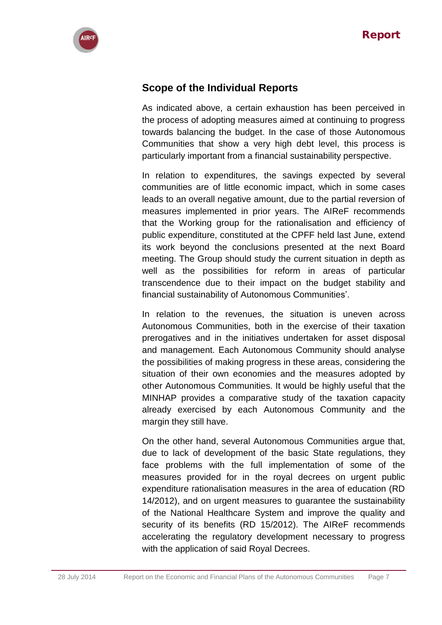<span id="page-6-0"></span>

# **Scope of the Individual Reports**

As indicated above, a certain exhaustion has been perceived in the process of adopting measures aimed at continuing to progress towards balancing the budget. In the case of those Autonomous Communities that show a very high debt level, this process is particularly important from a financial sustainability perspective.

In relation to expenditures, the savings expected by several communities are of little economic impact, which in some cases leads to an overall negative amount, due to the partial reversion of measures implemented in prior years. The AIReF recommends that the Working group for the rationalisation and efficiency of public expenditure, constituted at the CPFF held last June, extend its work beyond the conclusions presented at the next Board meeting. The Group should study the current situation in depth as well as the possibilities for reform in areas of particular transcendence due to their impact on the budget stability and financial sustainability of Autonomous Communities'.

In relation to the revenues, the situation is uneven across Autonomous Communities, both in the exercise of their taxation prerogatives and in the initiatives undertaken for asset disposal and management. Each Autonomous Community should analyse the possibilities of making progress in these areas, considering the situation of their own economies and the measures adopted by other Autonomous Communities. It would be highly useful that the MINHAP provides a comparative study of the taxation capacity already exercised by each Autonomous Community and the margin they still have.

On the other hand, several Autonomous Communities argue that, due to lack of development of the basic State regulations, they face problems with the full implementation of some of the measures provided for in the royal decrees on urgent public expenditure rationalisation measures in the area of education (RD 14/2012), and on urgent measures to guarantee the sustainability of the National Healthcare System and improve the quality and security of its benefits (RD 15/2012). The AIReF recommends accelerating the regulatory development necessary to progress with the application of said Royal Decrees.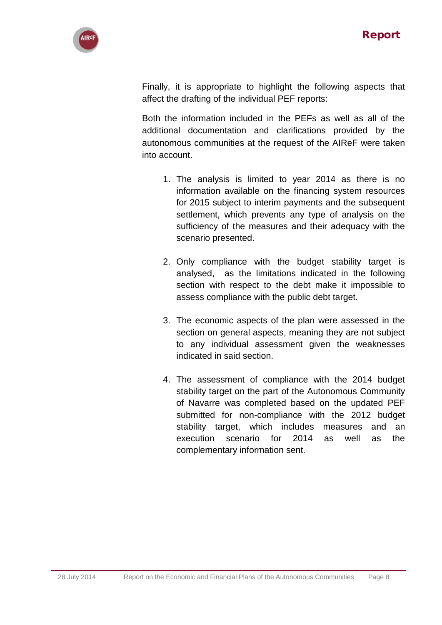

Finally, it is appropriate to highlight the following aspects that affect the drafting of the individual PEF reports:

Both the information included in the PEFs as well as all of the additional documentation and clarifications provided by the autonomous communities at the request of the AIReF were taken into account.

- 1. The analysis is limited to year 2014 as there is no information available on the financing system resources for 2015 subject to interim payments and the subsequent settlement, which prevents any type of analysis on the sufficiency of the measures and their adequacy with the scenario presented.
- 2. Only compliance with the budget stability target is analysed, as the limitations indicated in the following section with respect to the debt make it impossible to assess compliance with the public debt target.
- 3. The economic aspects of the plan were assessed in the section on general aspects, meaning they are not subject to any individual assessment given the weaknesses indicated in said section.
- 4. The assessment of compliance with the 2014 budget stability target on the part of the Autonomous Community of Navarre was completed based on the updated PEF submitted for non-compliance with the 2012 budget stability target, which includes measures and an execution scenario for 2014 as well as the complementary information sent.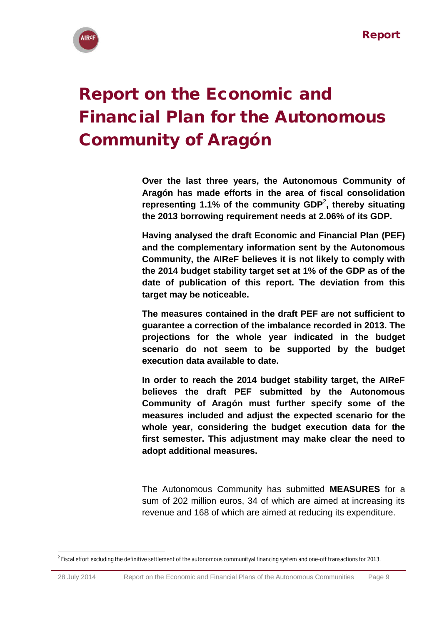

# <span id="page-8-0"></span>Report on the Economic and Financial Plan for the Autonomous Community of Aragón

**Over the last three years, the Autonomous Community of Aragón has made efforts in the area of fiscal consolidation representing 1.1% of the community GDP**<sup>2</sup> **, thereby situating the 2013 borrowing requirement needs at 2.06% of its GDP.**

**Having analysed the draft Economic and Financial Plan (PEF) and the complementary information sent by the Autonomous Community, the AIReF believes it is not likely to comply with the 2014 budget stability target set at 1% of the GDP as of the date of publication of this report. The deviation from this target may be noticeable.** 

**The measures contained in the draft PEF are not sufficient to guarantee a correction of the imbalance recorded in 2013. The projections for the whole year indicated in the budget scenario do not seem to be supported by the budget execution data available to date.**

**In order to reach the 2014 budget stability target, the AIReF believes the draft PEF submitted by the Autonomous Community of Aragón must further specify some of the measures included and adjust the expected scenario for the whole year, considering the budget execution data for the first semester. This adjustment may make clear the need to adopt additional measures.**

The Autonomous Community has submitted **MEASURES** for a sum of 202 million euros, 34 of which are aimed at increasing its revenue and 168 of which are aimed at reducing its expenditure.

**<sup>.</sup>**  $^2$  Fiscal effort excluding the definitive settlement of the autonomous communityal financing system and one-off transactions for 2013.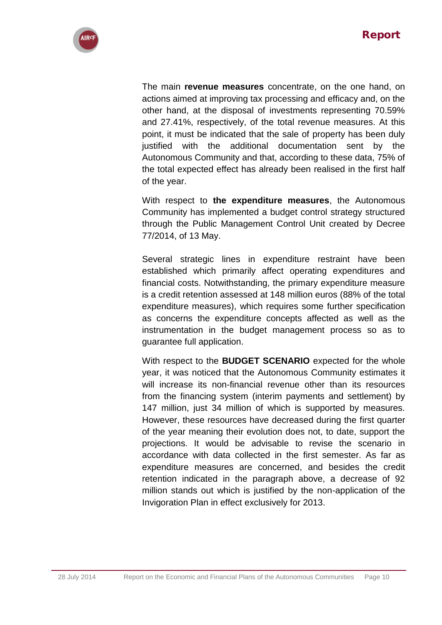

The main **revenue measures** concentrate, on the one hand, on actions aimed at improving tax processing and efficacy and, on the other hand, at the disposal of investments representing 70.59% and 27.41%, respectively, of the total revenue measures. At this point, it must be indicated that the sale of property has been duly justified with the additional documentation sent by the Autonomous Community and that, according to these data, 75% of the total expected effect has already been realised in the first half of the year.

With respect to **the expenditure measures**, the Autonomous Community has implemented a budget control strategy structured through the Public Management Control Unit created by Decree 77/2014, of 13 May.

Several strategic lines in expenditure restraint have been established which primarily affect operating expenditures and financial costs. Notwithstanding, the primary expenditure measure is a credit retention assessed at 148 million euros (88% of the total expenditure measures), which requires some further specification as concerns the expenditure concepts affected as well as the instrumentation in the budget management process so as to guarantee full application.

With respect to the **BUDGET SCENARIO** expected for the whole year, it was noticed that the Autonomous Community estimates it will increase its non-financial revenue other than its resources from the financing system (interim payments and settlement) by 147 million, just 34 million of which is supported by measures. However, these resources have decreased during the first quarter of the year meaning their evolution does not, to date, support the projections. It would be advisable to revise the scenario in accordance with data collected in the first semester. As far as expenditure measures are concerned, and besides the credit retention indicated in the paragraph above, a decrease of 92 million stands out which is justified by the non-application of the Invigoration Plan in effect exclusively for 2013.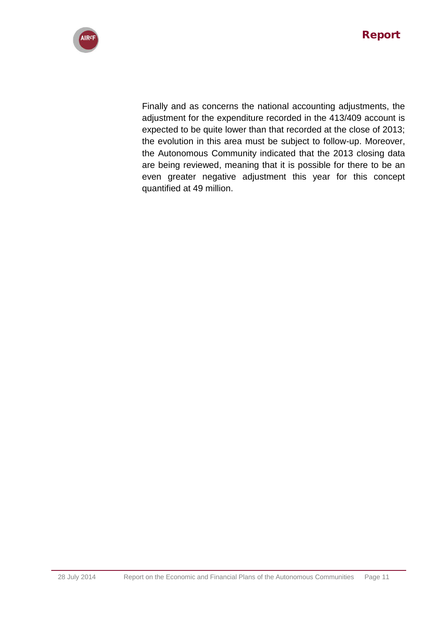

Finally and as concerns the national accounting adjustments, the adjustment for the expenditure recorded in the 413/409 account is expected to be quite lower than that recorded at the close of 2013; the evolution in this area must be subject to follow-up. Moreover, the Autonomous Community indicated that the 2013 closing data are being reviewed, meaning that it is possible for there to be an even greater negative adjustment this year for this concept quantified at 49 million.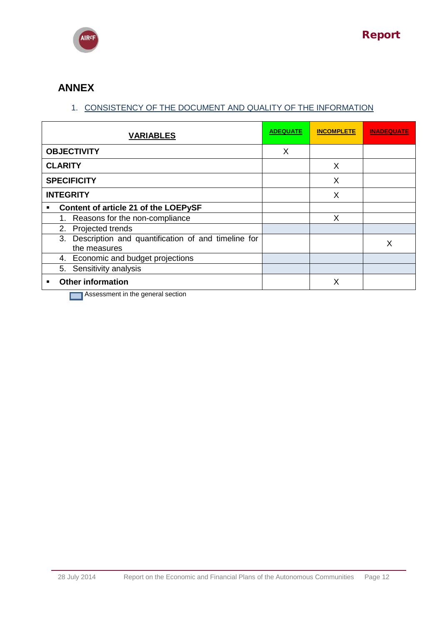

# **ANNEX**

# 1. CONSISTENCY OF THE DOCUMENT AND QUALITY OF THE INFORMATION

| <b>VARIABLES</b>                                                                                                                                                   | <b>ADEQUATE</b> | <b>INCOMPLETE</b> | <b>INADEQUATE</b> |
|--------------------------------------------------------------------------------------------------------------------------------------------------------------------|-----------------|-------------------|-------------------|
| <b>OBJECTIVITY</b>                                                                                                                                                 | X               |                   |                   |
| <b>CLARITY</b>                                                                                                                                                     |                 | X                 |                   |
| <b>SPECIFICITY</b>                                                                                                                                                 |                 | X                 |                   |
| <b>INTEGRITY</b>                                                                                                                                                   |                 | X                 |                   |
| Content of article 21 of the LOEPySF<br>п                                                                                                                          |                 |                   |                   |
| 1. Reasons for the non-compliance                                                                                                                                  |                 | X                 |                   |
| 2. Projected trends                                                                                                                                                |                 |                   |                   |
| Description and quantification of and timeline for<br>3.<br>the measures                                                                                           |                 |                   | X                 |
| 4. Economic and budget projections                                                                                                                                 |                 |                   |                   |
| 5. Sensitivity analysis                                                                                                                                            |                 |                   |                   |
| <b>Other information</b><br>$\blacksquare$<br><b>The Community of the Community of the Community of American Advantage Community Community Community Community</b> |                 | X                 |                   |

**Assessment in the general section**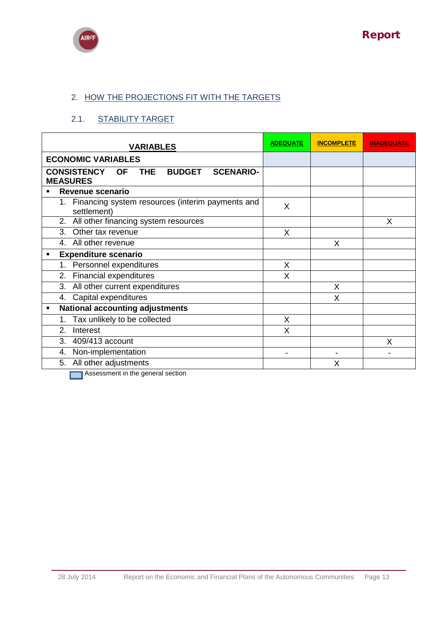



# 2. HOW THE PROJECTIONS FIT WITH THE TARGETS

# 2.1. STABILITY TARGET

| <b>VARIABLES</b>                                                                                      | <b>ADEQUATE</b> | <b>INCOMPLETE</b> | <b>INADEQUATE</b> |
|-------------------------------------------------------------------------------------------------------|-----------------|-------------------|-------------------|
| <b>ECONOMIC VARIABLES</b>                                                                             |                 |                   |                   |
| <b>CONSISTENCY</b><br><b>THE</b><br><b>BUDGET</b><br><b>SCENARIO-</b><br><b>OF</b><br><b>MEASURES</b> |                 |                   |                   |
| Revenue scenario<br>٠                                                                                 |                 |                   |                   |
| 1. Financing system resources (interim payments and<br>settlement)                                    | X               |                   |                   |
| 2. All other financing system resources                                                               |                 |                   | X                 |
| 3.<br>Other tax revenue                                                                               | X               |                   |                   |
| 4. All other revenue                                                                                  |                 | X                 |                   |
| <b>Expenditure scenario</b><br>٠                                                                      |                 |                   |                   |
| Personnel expenditures<br>1.                                                                          | X               |                   |                   |
| 2. Financial expenditures                                                                             | X               |                   |                   |
| All other current expenditures<br>3.                                                                  |                 | X                 |                   |
| 4. Capital expenditures                                                                               |                 | X                 |                   |
| <b>National accounting adjustments</b><br>$\blacksquare$                                              |                 |                   |                   |
| Tax unlikely to be collected<br>1.                                                                    | X               |                   |                   |
| 2.<br>Interest                                                                                        | X               |                   |                   |
| 3.<br>409/413 account                                                                                 |                 |                   | X                 |
| Non-implementation<br>4.                                                                              |                 |                   |                   |
| All other adjustments<br>5.                                                                           |                 | X                 |                   |
| the contract of the contract of the                                                                   |                 |                   |                   |

**Assessment in the general section**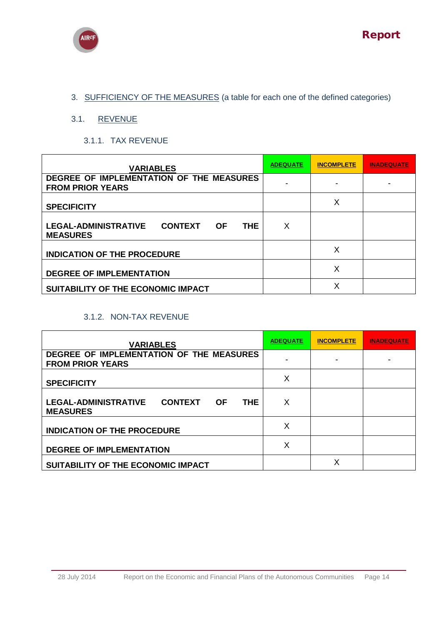



# 3. SUFFICIENCY OF THE MEASURES (a table for each one of the defined categories)

### 3.1. REVENUE

3.1.1. TAX REVENUE

| <b>VARIABLES</b>                                                                            | <b>ADEQUATE</b> | <b>INCOMPLETE</b> | INADEQUATE |
|---------------------------------------------------------------------------------------------|-----------------|-------------------|------------|
| DEGREE OF IMPLEMENTATION OF THE MEASURES<br><b>FROM PRIOR YEARS</b>                         |                 |                   |            |
| <b>SPECIFICITY</b>                                                                          |                 | Х                 |            |
| <b>LEGAL-ADMINISTRATIVE</b><br><b>CONTEXT</b><br><b>OF</b><br><b>THE</b><br><b>MEASURES</b> | X               |                   |            |
| <b>INDICATION OF THE PROCEDURE</b>                                                          |                 | Х                 |            |
| <b>DEGREE OF IMPLEMENTATION</b>                                                             |                 | Χ                 |            |
| SUITABILITY OF THE ECONOMIC IMPACT                                                          |                 | Х                 |            |

### 3.1.2. NON-TAX REVENUE

| <b>VARIABLES</b>                                                                            | <b>ADEQUATE</b> | <b>INCOMPLETE</b> | INADEQUATE |
|---------------------------------------------------------------------------------------------|-----------------|-------------------|------------|
| DEGREE OF IMPLEMENTATION OF THE MEASURES<br><b>FROM PRIOR YEARS</b>                         |                 |                   |            |
| <b>SPECIFICITY</b>                                                                          | X               |                   |            |
| <b>LEGAL-ADMINISTRATIVE</b><br><b>CONTEXT</b><br><b>THE</b><br><b>OF</b><br><b>MEASURES</b> | X               |                   |            |
| <b>INDICATION OF THE PROCEDURE</b>                                                          | Χ               |                   |            |
| <b>DEGREE OF IMPLEMENTATION</b>                                                             | X               |                   |            |
| SUITABILITY OF THE ECONOMIC IMPACT                                                          |                 | Χ                 |            |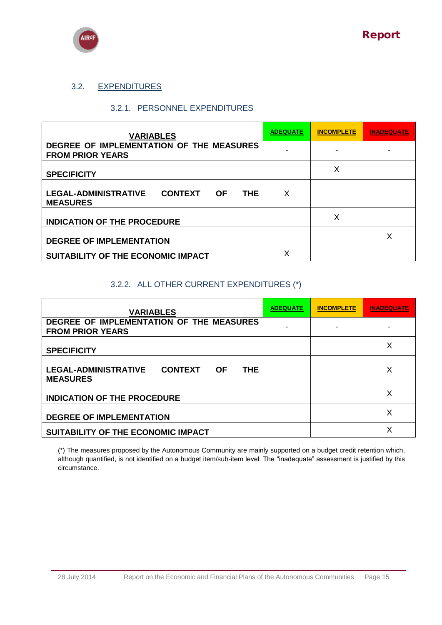

### 3.2. EXPENDITURES

#### 3.2.1. PERSONNEL EXPENDITURES

| <b>VARIABLES</b>                                                                            | <b>ADEQUATE</b> | <b>INCOMPLETE</b> | <b>INADEQUATE</b> |
|---------------------------------------------------------------------------------------------|-----------------|-------------------|-------------------|
| DEGREE OF IMPLEMENTATION OF THE MEASURES<br><b>FROM PRIOR YEARS</b>                         |                 |                   |                   |
| <b>SPECIFICITY</b>                                                                          |                 | X                 |                   |
| <b>LEGAL-ADMINISTRATIVE</b><br><b>CONTEXT</b><br><b>OF</b><br><b>THE</b><br><b>MEASURES</b> | X               |                   |                   |
| <b>INDICATION OF THE PROCEDURE</b>                                                          |                 | х                 |                   |
| <b>DEGREE OF IMPLEMENTATION</b>                                                             |                 |                   | Х                 |
| SUITABILITY OF THE ECONOMIC IMPACT                                                          | X               |                   |                   |

### 3.2.2. ALL OTHER CURRENT EXPENDITURES (\*)

| <b>VARIABLES</b>                                                                            | <b>ADEQUATE</b> | <b>INCOMPLETE</b> | <b>INADEQUATE</b> |
|---------------------------------------------------------------------------------------------|-----------------|-------------------|-------------------|
| DEGREE OF IMPLEMENTATION OF THE MEASURES<br><b>FROM PRIOR YEARS</b>                         |                 |                   |                   |
| <b>SPECIFICITY</b>                                                                          |                 |                   | Χ                 |
| <b>LEGAL-ADMINISTRATIVE</b><br><b>CONTEXT</b><br><b>THE</b><br><b>OF</b><br><b>MEASURES</b> |                 |                   | X                 |
| <b>INDICATION OF THE PROCEDURE</b>                                                          |                 |                   | x                 |
| <b>DEGREE OF IMPLEMENTATION</b>                                                             |                 |                   | Χ                 |
| SUITABILITY OF THE ECONOMIC IMPACT                                                          |                 |                   |                   |

(\*) The measures proposed by the Autonomous Community are mainly supported on a budget credit retention which, although quantified, is not identified on a budget item/sub-item level. The "inadequate" assessment is justified by this circumstance.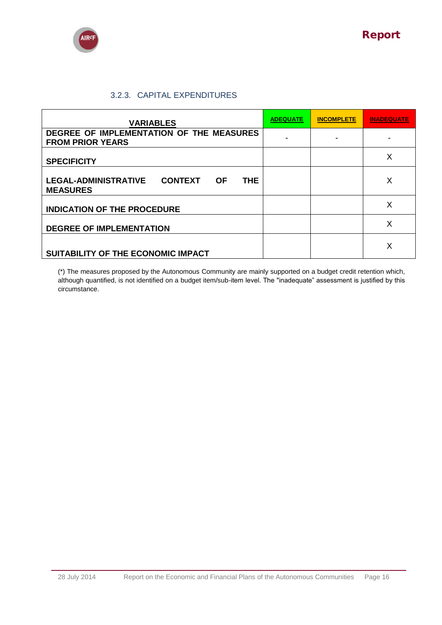

## 3.2.3. CAPITAL EXPENDITURES

| <b>VARIABLES</b>                                                                            | <b>ADEQUATE</b> | <b>INCOMPLETE</b> | INADEQUATE |
|---------------------------------------------------------------------------------------------|-----------------|-------------------|------------|
| DEGREE OF IMPLEMENTATION OF THE MEASURES<br><b>FROM PRIOR YEARS</b>                         |                 |                   |            |
| <b>SPECIFICITY</b>                                                                          |                 |                   | X          |
| <b>LEGAL-ADMINISTRATIVE</b><br><b>CONTEXT</b><br><b>THE</b><br><b>OF</b><br><b>MEASURES</b> |                 |                   | Х          |
| <b>INDICATION OF THE PROCEDURE</b>                                                          |                 |                   | X          |
| <b>DEGREE OF IMPLEMENTATION</b>                                                             |                 |                   | X          |
| SUITABILITY OF THE ECONOMIC IMPACT                                                          |                 |                   | X          |

(\*) The measures proposed by the Autonomous Community are mainly supported on a budget credit retention which, although quantified, is not identified on a budget item/sub-item level. The "inadequate" assessment is justified by this circumstance.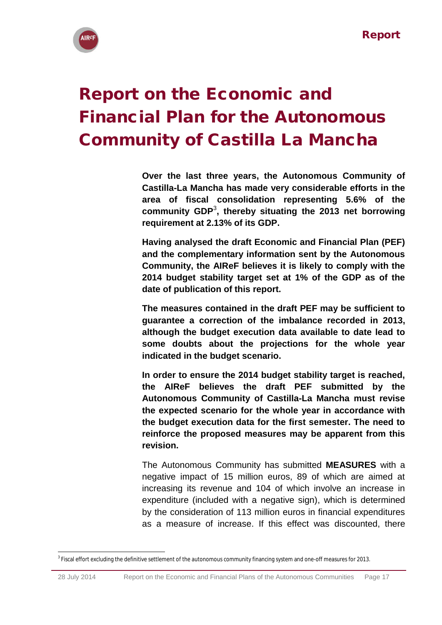

# <span id="page-16-0"></span>Report on the Economic and Financial Plan for the Autonomous Community of Castilla La Mancha

**Over the last three years, the Autonomous Community of Castilla-La Mancha has made very considerable efforts in the area of fiscal consolidation representing 5.6% of the community GDP**<sup>3</sup> **, thereby situating the 2013 net borrowing requirement at 2.13% of its GDP.**

**Having analysed the draft Economic and Financial Plan (PEF) and the complementary information sent by the Autonomous Community, the AIReF believes it is likely to comply with the 2014 budget stability target set at 1% of the GDP as of the date of publication of this report.** 

**The measures contained in the draft PEF may be sufficient to guarantee a correction of the imbalance recorded in 2013, although the budget execution data available to date lead to some doubts about the projections for the whole year indicated in the budget scenario.**

**In order to ensure the 2014 budget stability target is reached, the AIReF believes the draft PEF submitted by the Autonomous Community of Castilla-La Mancha must revise the expected scenario for the whole year in accordance with the budget execution data for the first semester. The need to reinforce the proposed measures may be apparent from this revision.** 

The Autonomous Community has submitted **MEASURES** with a negative impact of 15 million euros, 89 of which are aimed at increasing its revenue and 104 of which involve an increase in expenditure (included with a negative sign), which is determined by the consideration of 113 million euros in financial expenditures as a measure of increase. If this effect was discounted, there

**<sup>.</sup>** <sup>3</sup> Fiscal effort excluding the definitive settlement of the autonomous community financing system and one-off measures for 2013.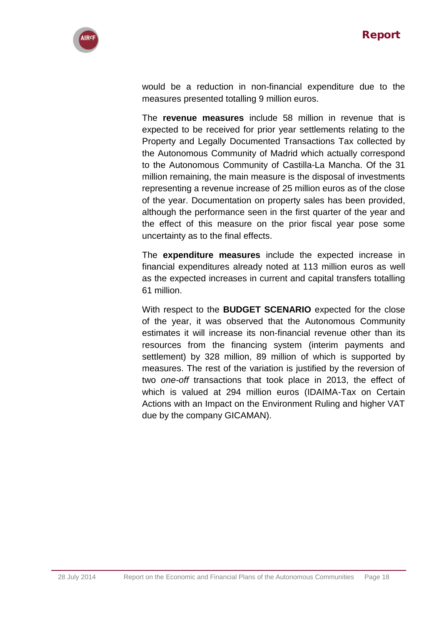

would be a reduction in non-financial expenditure due to the measures presented totalling 9 million euros.

The **revenue measures** include 58 million in revenue that is expected to be received for prior year settlements relating to the Property and Legally Documented Transactions Tax collected by the Autonomous Community of Madrid which actually correspond to the Autonomous Community of Castilla-La Mancha. Of the 31 million remaining, the main measure is the disposal of investments representing a revenue increase of 25 million euros as of the close of the year. Documentation on property sales has been provided, although the performance seen in the first quarter of the year and the effect of this measure on the prior fiscal year pose some uncertainty as to the final effects.

The **expenditure measures** include the expected increase in financial expenditures already noted at 113 million euros as well as the expected increases in current and capital transfers totalling 61 million.

With respect to the **BUDGET SCENARIO** expected for the close of the year, it was observed that the Autonomous Community estimates it will increase its non-financial revenue other than its resources from the financing system (interim payments and settlement) by 328 million, 89 million of which is supported by measures. The rest of the variation is justified by the reversion of two *one-off* transactions that took place in 2013, the effect of which is valued at 294 million euros (IDAIMA-Tax on Certain Actions with an Impact on the Environment Ruling and higher VAT due by the company GICAMAN).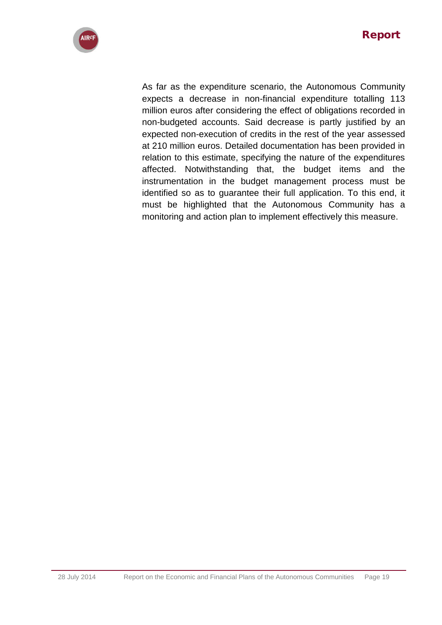

As far as the expenditure scenario, the Autonomous Community expects a decrease in non-financial expenditure totalling 113 million euros after considering the effect of obligations recorded in non-budgeted accounts. Said decrease is partly justified by an expected non-execution of credits in the rest of the year assessed at 210 million euros. Detailed documentation has been provided in relation to this estimate, specifying the nature of the expenditures affected. Notwithstanding that, the budget items and the instrumentation in the budget management process must be identified so as to guarantee their full application. To this end, it must be highlighted that the Autonomous Community has a monitoring and action plan to implement effectively this measure.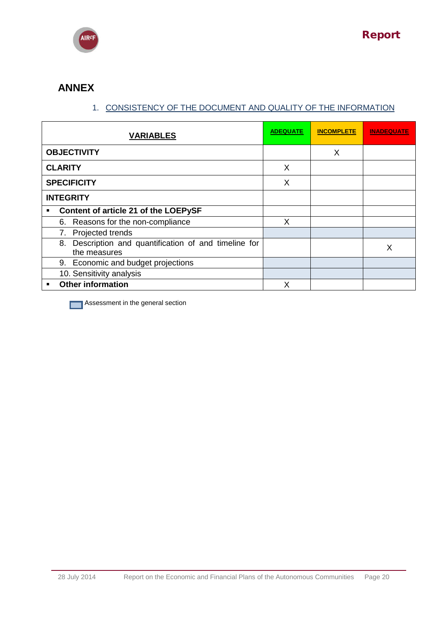

# **ANNEX**

# 1. CONSISTENCY OF THE DOCUMENT AND QUALITY OF THE INFORMATION

| <b>VARIABLES</b>                                                         | <b>ADEQUATE</b> | <b>INCOMPLETE</b> | <b>INADEQUATE</b> |
|--------------------------------------------------------------------------|-----------------|-------------------|-------------------|
| <b>OBJECTIVITY</b>                                                       |                 | X                 |                   |
| <b>CLARITY</b>                                                           | X               |                   |                   |
| <b>SPECIFICITY</b>                                                       | X               |                   |                   |
| <b>INTEGRITY</b>                                                         |                 |                   |                   |
| Content of article 21 of the LOEPySF<br>$\blacksquare$                   |                 |                   |                   |
| 6. Reasons for the non-compliance                                        | X               |                   |                   |
| 7. Projected trends                                                      |                 |                   |                   |
| Description and quantification of and timeline for<br>8.<br>the measures |                 |                   | X                 |
| 9. Economic and budget projections                                       |                 |                   |                   |
| 10. Sensitivity analysis                                                 |                 |                   |                   |
| <b>Other information</b><br>■                                            | X               |                   |                   |

**Assessment in the general section**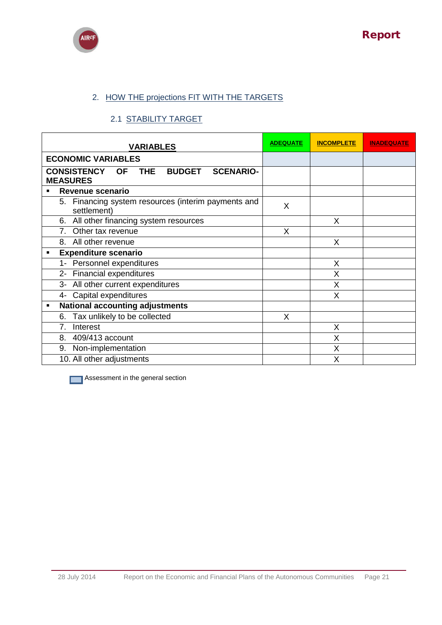



# 2. HOW THE projections FIT WITH THE TARGETS

### 2.1 STABILITY TARGET

| <b>VARIABLES</b>                                                                                      | <b>ADEQUATE</b> | <b>INCOMPLETE</b> | <b>INADEQUATE</b> |
|-------------------------------------------------------------------------------------------------------|-----------------|-------------------|-------------------|
| <b>ECONOMIC VARIABLES</b>                                                                             |                 |                   |                   |
| <b>CONSISTENCY</b><br><b>THE</b><br><b>BUDGET</b><br><b>OF</b><br><b>SCENARIO-</b><br><b>MEASURES</b> |                 |                   |                   |
| Revenue scenario<br>$\blacksquare$                                                                    |                 |                   |                   |
| 5. Financing system resources (interim payments and<br>settlement)                                    | X               |                   |                   |
| 6. All other financing system resources                                                               |                 | X                 |                   |
| 7. Other tax revenue                                                                                  | X               |                   |                   |
| 8. All other revenue                                                                                  |                 | X                 |                   |
| <b>Expenditure scenario</b><br>٠                                                                      |                 |                   |                   |
| 1- Personnel expenditures                                                                             |                 | X                 |                   |
| 2- Financial expenditures                                                                             |                 | X                 |                   |
| All other current expenditures<br>$3-$                                                                |                 | X                 |                   |
| Capital expenditures<br>4-                                                                            |                 | X                 |                   |
| <b>National accounting adjustments</b><br>٠                                                           |                 |                   |                   |
| Tax unlikely to be collected<br>6.                                                                    | X               |                   |                   |
| 7.<br>Interest                                                                                        |                 | X                 |                   |
| 8. 409/413 account                                                                                    |                 | X                 |                   |
| Non-implementation<br>9.                                                                              |                 | X                 |                   |
| 10. All other adjustments                                                                             |                 | X                 |                   |

**Assessment in the general section**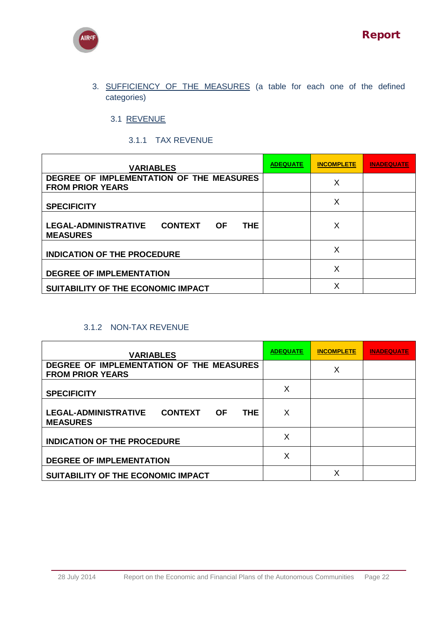



3. SUFFICIENCY OF THE MEASURES (a table for each one of the defined categories)

3.1 REVENUE

3.1.1 TAX REVENUE

| <b>VARIABLES</b>                                                                      | <b>ADEQUATE</b> | <b>INCOMPLETE</b> | INADEQUATE |
|---------------------------------------------------------------------------------------|-----------------|-------------------|------------|
| DEGREE OF IMPLEMENTATION OF THE MEASURES<br><b>FROM PRIOR YEARS</b>                   |                 | Χ                 |            |
| <b>SPECIFICITY</b>                                                                    |                 | Χ                 |            |
| <b>LEGAL-ADMINISTRATIVE</b><br><b>CONTEXT</b><br>THE.<br><b>OF</b><br><b>MEASURES</b> |                 | Х                 |            |
| <b>INDICATION OF THE PROCEDURE</b>                                                    |                 | Χ                 |            |
| <b>DEGREE OF IMPLEMENTATION</b>                                                       |                 | х                 |            |
| SUITABILITY OF THE ECONOMIC IMPACT                                                    |                 | х                 |            |

### 3.1.2 NON-TAX REVENUE

| <b>VARIABLES</b>                                                                            | <b>ADEQUATE</b> | <b>INCOMPLETE</b> | INADEQUATE |
|---------------------------------------------------------------------------------------------|-----------------|-------------------|------------|
| DEGREE OF IMPLEMENTATION OF THE MEASURES<br><b>FROM PRIOR YEARS</b>                         |                 | х                 |            |
| <b>SPECIFICITY</b>                                                                          | X               |                   |            |
| <b>LEGAL-ADMINISTRATIVE</b><br><b>CONTEXT</b><br><b>OF</b><br><b>THE</b><br><b>MEASURES</b> | X               |                   |            |
| <b>INDICATION OF THE PROCEDURE</b>                                                          | X               |                   |            |
| <b>DEGREE OF IMPLEMENTATION</b>                                                             | X               |                   |            |
| SUITABILITY OF THE ECONOMIC IMPACT                                                          |                 | Χ                 |            |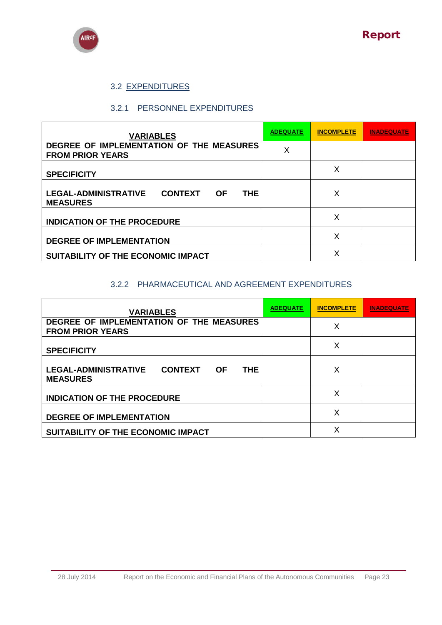

# 3.2 EXPENDITURES

### 3.2.1 PERSONNEL EXPENDITURES

| <b>VARIABLES</b>                                                                            | <b>ADEQUATE</b> | <b>INCOMPLETE</b> | <b>INADEQUATE</b> |
|---------------------------------------------------------------------------------------------|-----------------|-------------------|-------------------|
| DEGREE OF IMPLEMENTATION OF THE MEASURES<br><b>FROM PRIOR YEARS</b>                         | X               |                   |                   |
| <b>SPECIFICITY</b>                                                                          |                 | Х                 |                   |
| <b>CONTEXT</b><br><b>LEGAL-ADMINISTRATIVE</b><br><b>THE</b><br><b>OF</b><br><b>MEASURES</b> |                 | Х                 |                   |
| <b>INDICATION OF THE PROCEDURE</b>                                                          |                 | X                 |                   |
| <b>DEGREE OF IMPLEMENTATION</b>                                                             |                 | X                 |                   |
| SUITABILITY OF THE ECONOMIC IMPACT                                                          |                 | X                 |                   |

### 3.2.2 PHARMACEUTICAL AND AGREEMENT EXPENDITURES

| <b>VARIABLES</b>                                                                      | <b>ADEQUATE</b> | <b>INCOMPLETE</b> | <b>INADEQUATE</b> |
|---------------------------------------------------------------------------------------|-----------------|-------------------|-------------------|
| DEGREE OF IMPLEMENTATION OF THE MEASURES<br><b>FROM PRIOR YEARS</b>                   |                 | X                 |                   |
| <b>SPECIFICITY</b>                                                                    |                 | X                 |                   |
| <b>LEGAL-ADMINISTRATIVE</b><br><b>CONTEXT</b><br>THE.<br><b>OF</b><br><b>MEASURES</b> |                 | Х                 |                   |
| <b>INDICATION OF THE PROCEDURE</b>                                                    |                 | X                 |                   |
| <b>DEGREE OF IMPLEMENTATION</b>                                                       |                 | X                 |                   |
| SUITABILITY OF THE ECONOMIC IMPACT                                                    |                 | Χ                 |                   |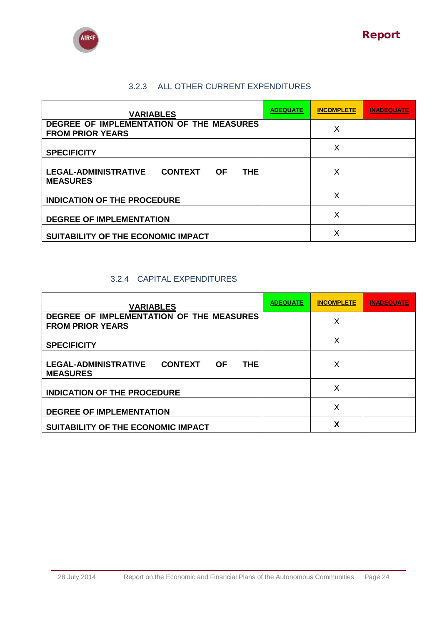



# 3.2.3 ALL OTHER CURRENT EXPENDITURES

| <b>VARIABLES</b>                                                                  | <b>ADEQUATE</b> | <b>INCOMPLETE</b> | <b>INADEQUATE</b> |
|-----------------------------------------------------------------------------------|-----------------|-------------------|-------------------|
| DEGREE OF IMPLEMENTATION OF THE MEASURES<br><b>FROM PRIOR YEARS</b>               |                 | Χ                 |                   |
| <b>SPECIFICITY</b>                                                                |                 | X                 |                   |
| <b>LEGAL-ADMINISTRATIVE</b><br><b>CONTEXT OF</b><br><b>THE</b><br><b>MEASURES</b> |                 | X                 |                   |
| <b>INDICATION OF THE PROCEDURE</b>                                                |                 | X                 |                   |
| <b>DEGREE OF IMPLEMENTATION</b>                                                   |                 | X                 |                   |
| SUITABILITY OF THE ECONOMIC IMPACT                                                |                 | Χ                 |                   |

## 3.2.4 CAPITAL EXPENDITURES

| <b>VARIABLES</b>                                                                            | <b>ADEQUATE</b> | <b>INCOMPLETE</b> | <b>INADEQUATE</b> |
|---------------------------------------------------------------------------------------------|-----------------|-------------------|-------------------|
| DEGREE OF IMPLEMENTATION OF THE MEASURES<br><b>FROM PRIOR YEARS</b>                         |                 | X                 |                   |
| <b>SPECIFICITY</b>                                                                          |                 | Χ                 |                   |
| <b>LEGAL-ADMINISTRATIVE</b><br><b>CONTEXT</b><br><b>THE</b><br><b>OF</b><br><b>MEASURES</b> |                 | Χ                 |                   |
| <b>INDICATION OF THE PROCEDURE</b>                                                          |                 | Χ                 |                   |
| <b>DEGREE OF IMPLEMENTATION</b>                                                             |                 | X                 |                   |
| SUITABILITY OF THE ECONOMIC IMPACT                                                          |                 | χ                 |                   |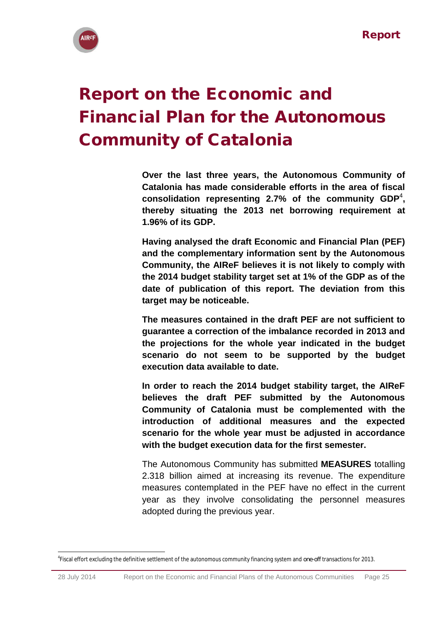

# <span id="page-24-0"></span>Report on the Economic and Financial Plan for the Autonomous Community of Catalonia

**Over the last three years, the Autonomous Community of Catalonia has made considerable efforts in the area of fiscal consolidation representing 2.7% of the community GDP**<sup>4</sup> **, thereby situating the 2013 net borrowing requirement at 1.96% of its GDP.**

**Having analysed the draft Economic and Financial Plan (PEF) and the complementary information sent by the Autonomous Community, the AIReF believes it is not likely to comply with the 2014 budget stability target set at 1% of the GDP as of the date of publication of this report. The deviation from this target may be noticeable.**

**The measures contained in the draft PEF are not sufficient to guarantee a correction of the imbalance recorded in 2013 and the projections for the whole year indicated in the budget scenario do not seem to be supported by the budget execution data available to date.**

**In order to reach the 2014 budget stability target, the AIReF believes the draft PEF submitted by the Autonomous Community of Catalonia must be complemented with the introduction of additional measures and the expected scenario for the whole year must be adjusted in accordance with the budget execution data for the first semester.**

The Autonomous Community has submitted **MEASURES** totalling 2.318 billion aimed at increasing its revenue. The expenditure measures contemplated in the PEF have no effect in the current year as they involve consolidating the personnel measures adopted during the previous year.

**<sup>.</sup>** 4 Fiscal effort excluding the definitive settlement of the autonomous community financing system and *one-off* transactions for 2013.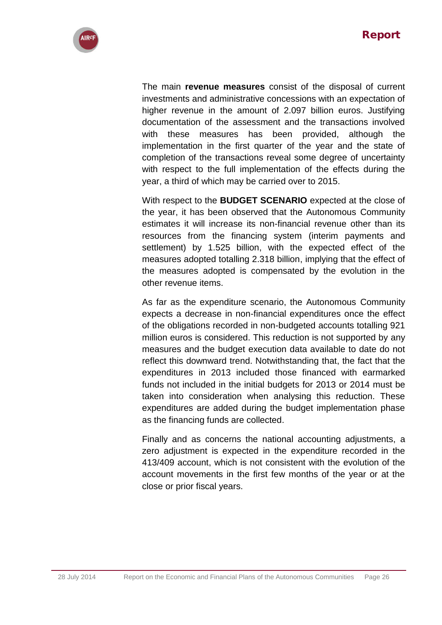

The main **revenue measures** consist of the disposal of current investments and administrative concessions with an expectation of higher revenue in the amount of 2.097 billion euros. Justifying documentation of the assessment and the transactions involved with these measures has been provided, although the implementation in the first quarter of the year and the state of completion of the transactions reveal some degree of uncertainty with respect to the full implementation of the effects during the year, a third of which may be carried over to 2015.

With respect to the **BUDGET SCENARIO** expected at the close of the year, it has been observed that the Autonomous Community estimates it will increase its non-financial revenue other than its resources from the financing system (interim payments and settlement) by 1.525 billion, with the expected effect of the measures adopted totalling 2.318 billion, implying that the effect of the measures adopted is compensated by the evolution in the other revenue items.

As far as the expenditure scenario, the Autonomous Community expects a decrease in non-financial expenditures once the effect of the obligations recorded in non-budgeted accounts totalling 921 million euros is considered. This reduction is not supported by any measures and the budget execution data available to date do not reflect this downward trend. Notwithstanding that, the fact that the expenditures in 2013 included those financed with earmarked funds not included in the initial budgets for 2013 or 2014 must be taken into consideration when analysing this reduction. These expenditures are added during the budget implementation phase as the financing funds are collected.

Finally and as concerns the national accounting adjustments, a zero adjustment is expected in the expenditure recorded in the 413/409 account, which is not consistent with the evolution of the account movements in the first few months of the year or at the close or prior fiscal years.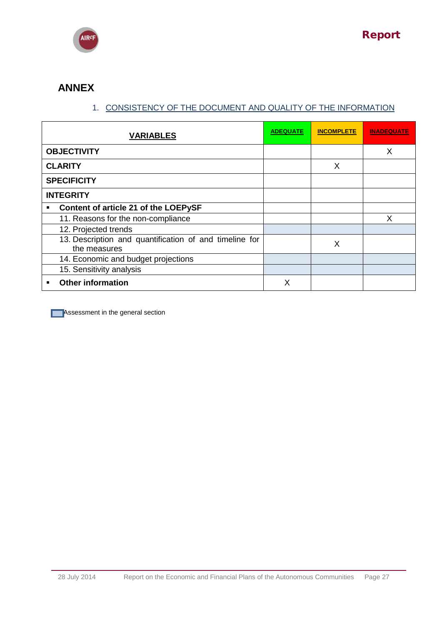

# **ANNEX**

# 1. CONSISTENCY OF THE DOCUMENT AND QUALITY OF THE INFORMATION

| <b>VARIABLES</b>                                                       | <b>ADEQUATE</b> | <b>INCOMPLETE</b> | <b>INADEQUATE</b> |
|------------------------------------------------------------------------|-----------------|-------------------|-------------------|
| <b>OBJECTIVITY</b>                                                     |                 |                   | X                 |
| <b>CLARITY</b>                                                         |                 | X                 |                   |
| <b>SPECIFICITY</b>                                                     |                 |                   |                   |
| <b>INTEGRITY</b>                                                       |                 |                   |                   |
| Content of article 21 of the LOEPySF<br>٠                              |                 |                   |                   |
| 11. Reasons for the non-compliance                                     |                 |                   | X                 |
| 12. Projected trends                                                   |                 |                   |                   |
| 13. Description and quantification of and timeline for<br>the measures |                 | X                 |                   |
| 14. Economic and budget projections                                    |                 |                   |                   |
| 15. Sensitivity analysis                                               |                 |                   |                   |
| <b>Other information</b><br>٠                                          | x               |                   |                   |

**Assessment in the general section**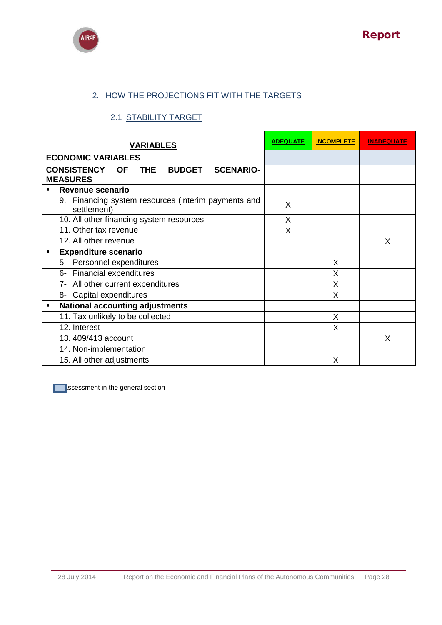



# 2. HOW THE PROJECTIONS FIT WITH THE TARGETS

### 2.1 STABILITY TARGET

| <b>VARIABLES</b>                                                                                      | <b>ADEQUATE</b> | <b>INCOMPLETE</b> | <b>INADEQUATE</b> |
|-------------------------------------------------------------------------------------------------------|-----------------|-------------------|-------------------|
| <b>ECONOMIC VARIABLES</b>                                                                             |                 |                   |                   |
| <b>THE</b><br><b>BUDGET</b><br><b>CONSISTENCY</b><br><b>SCENARIO-</b><br><b>OF</b><br><b>MEASURES</b> |                 |                   |                   |
| <b>Revenue scenario</b>                                                                               |                 |                   |                   |
| 9. Financing system resources (interim payments and<br>settlement)                                    | X               |                   |                   |
| 10. All other financing system resources                                                              | X               |                   |                   |
| 11. Other tax revenue                                                                                 | X               |                   |                   |
| 12. All other revenue                                                                                 |                 |                   | X                 |
| <b>Expenditure scenario</b>                                                                           |                 |                   |                   |
| 5- Personnel expenditures                                                                             |                 | X                 |                   |
| <b>Financial expenditures</b><br>6-                                                                   |                 | X                 |                   |
| 7- All other current expenditures                                                                     |                 | X                 |                   |
| 8- Capital expenditures                                                                               |                 | X                 |                   |
| <b>National accounting adjustments</b><br>$\blacksquare$                                              |                 |                   |                   |
| 11. Tax unlikely to be collected                                                                      |                 | $\sf X$           |                   |
| 12. Interest                                                                                          |                 | X                 |                   |
| 13.409/413 account                                                                                    |                 |                   | X                 |
| 14. Non-implementation                                                                                |                 |                   |                   |
| 15. All other adjustments                                                                             |                 | X                 |                   |

**Assessment in the general section**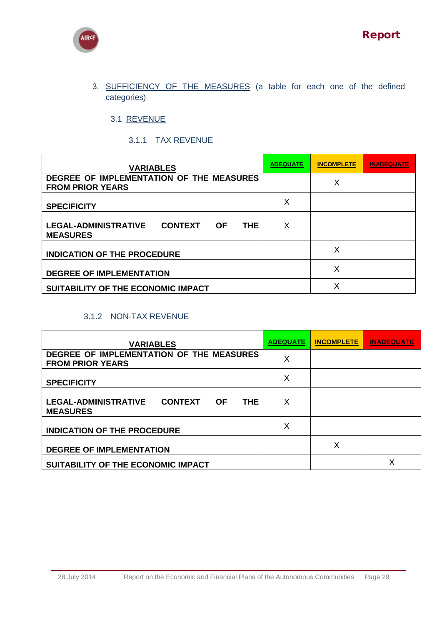



3. SUFFICIENCY OF THE MEASURES (a table for each one of the defined categories)

3.1 REVENUE

### 3.1.1 TAX REVENUE

| <b>VARIABLES</b>                                                                       | <b>ADEQUATE</b> | <b>INCOMPLETE</b> | <b>INADEQUATE</b> |
|----------------------------------------------------------------------------------------|-----------------|-------------------|-------------------|
| DEGREE OF IMPLEMENTATION OF THE MEASURES<br><b>FROM PRIOR YEARS</b>                    |                 | X                 |                   |
|                                                                                        | X               |                   |                   |
| <b>SPECIFICITY</b>                                                                     |                 |                   |                   |
| <b>LEGAL-ADMINISTRATIVE</b><br><b>CONTEXT</b><br><b>THE</b><br>- OF<br><b>MEASURES</b> | X               |                   |                   |
| <b>INDICATION OF THE PROCEDURE</b>                                                     |                 | X                 |                   |
| <b>DEGREE OF IMPLEMENTATION</b>                                                        |                 | X                 |                   |
| SUITABILITY OF THE ECONOMIC IMPACT                                                     |                 | Х                 |                   |

## 3.1.2 NON-TAX REVENUE

| <b>VARIABLES</b>                                                                      | <b>ADEQUATE</b> | <b>INCOMPLETE</b> | <b>INADEQUATE</b> |
|---------------------------------------------------------------------------------------|-----------------|-------------------|-------------------|
| DEGREE OF IMPLEMENTATION OF THE MEASURES<br><b>FROM PRIOR YEARS</b>                   | X               |                   |                   |
| <b>SPECIFICITY</b>                                                                    | X               |                   |                   |
| <b>LEGAL-ADMINISTRATIVE</b><br><b>CONTEXT</b><br><b>OF</b><br>THE.<br><b>MEASURES</b> | X               |                   |                   |
| <b>INDICATION OF THE PROCEDURE</b>                                                    | X               |                   |                   |
| <b>DEGREE OF IMPLEMENTATION</b>                                                       |                 | X                 |                   |
| SUITABILITY OF THE ECONOMIC IMPACT                                                    |                 |                   | Χ                 |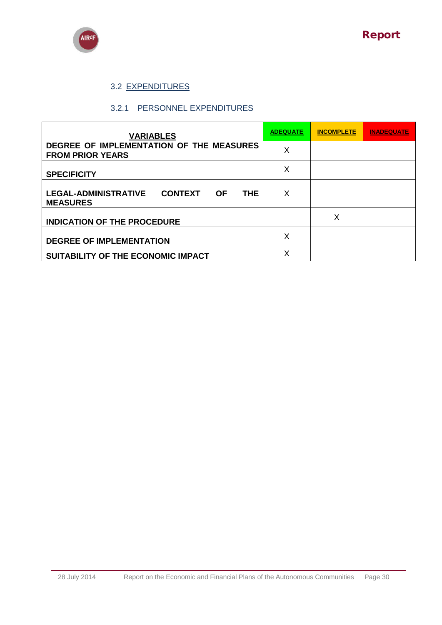

# 3.2 EXPENDITURES

#### 3.2.1 PERSONNEL EXPENDITURES

| <b>VARIABLES</b>                                                                            | <b>ADEQUATE</b> | <b>INCOMPLETE</b> | <b>INADEQUATE</b> |
|---------------------------------------------------------------------------------------------|-----------------|-------------------|-------------------|
| DEGREE OF IMPLEMENTATION OF THE MEASURES<br><b>FROM PRIOR YEARS</b>                         | X               |                   |                   |
| <b>SPECIFICITY</b>                                                                          | X               |                   |                   |
| <b>LEGAL-ADMINISTRATIVE</b><br><b>CONTEXT</b><br><b>THE</b><br><b>OF</b><br><b>MEASURES</b> | X               |                   |                   |
| <b>INDICATION OF THE PROCEDURE</b>                                                          |                 | X                 |                   |
| <b>DEGREE OF IMPLEMENTATION</b>                                                             | X               |                   |                   |
| SUITABILITY OF THE ECONOMIC IMPACT                                                          | X               |                   |                   |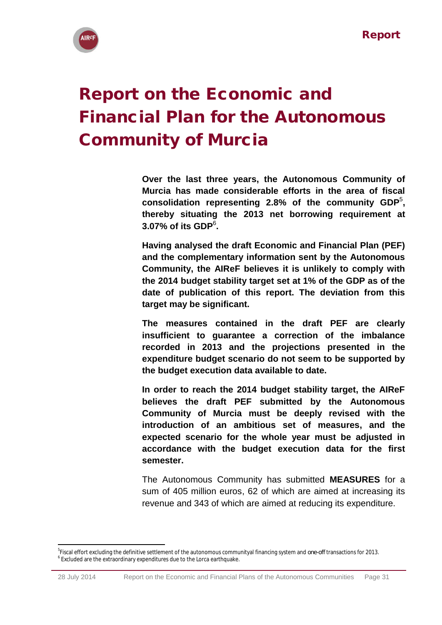

# <span id="page-30-0"></span>Report on the Economic and Financial Plan for the Autonomous Community of Murcia

**Over the last three years, the Autonomous Community of Murcia has made considerable efforts in the area of fiscal consolidation representing 2.8% of the community GDP**<sup>5</sup> **, thereby situating the 2013 net borrowing requirement at 3.07% of its GDP**<sup>6</sup> **.**

**Having analysed the draft Economic and Financial Plan (PEF) and the complementary information sent by the Autonomous Community, the AIReF believes it is unlikely to comply with the 2014 budget stability target set at 1% of the GDP as of the date of publication of this report. The deviation from this target may be significant.**

**The measures contained in the draft PEF are clearly insufficient to guarantee a correction of the imbalance recorded in 2013 and the projections presented in the expenditure budget scenario do not seem to be supported by the budget execution data available to date.**

**In order to reach the 2014 budget stability target, the AIReF believes the draft PEF submitted by the Autonomous Community of Murcia must be deeply revised with the introduction of an ambitious set of measures, and the expected scenario for the whole year must be adjusted in accordance with the budget execution data for the first semester.**

The Autonomous Community has submitted **MEASURES** for a sum of 405 million euros, 62 of which are aimed at increasing its revenue and 343 of which are aimed at reducing its expenditure.

**.** 

<sup>5</sup> Fiscal effort excluding the definitive settlement of the autonomous communityal financing system and *one-off* transactions for 2013. <sup>6</sup> Excluded are the extraordinary expenditures due to the Lorca earthquake.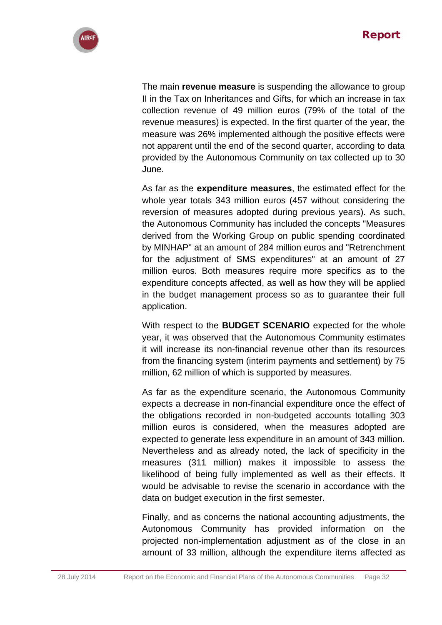

The main **revenue measure** is suspending the allowance to group II in the Tax on Inheritances and Gifts, for which an increase in tax collection revenue of 49 million euros (79% of the total of the revenue measures) is expected. In the first quarter of the year, the measure was 26% implemented although the positive effects were not apparent until the end of the second quarter, according to data provided by the Autonomous Community on tax collected up to 30 June.

As far as the **expenditure measures**, the estimated effect for the whole year totals 343 million euros (457 without considering the reversion of measures adopted during previous years). As such, the Autonomous Community has included the concepts "Measures derived from the Working Group on public spending coordinated by MINHAP" at an amount of 284 million euros and "Retrenchment for the adjustment of SMS expenditures" at an amount of 27 million euros. Both measures require more specifics as to the expenditure concepts affected, as well as how they will be applied in the budget management process so as to guarantee their full application.

With respect to the **BUDGET SCENARIO** expected for the whole year, it was observed that the Autonomous Community estimates it will increase its non-financial revenue other than its resources from the financing system (interim payments and settlement) by 75 million, 62 million of which is supported by measures.

As far as the expenditure scenario, the Autonomous Community expects a decrease in non-financial expenditure once the effect of the obligations recorded in non-budgeted accounts totalling 303 million euros is considered, when the measures adopted are expected to generate less expenditure in an amount of 343 million. Nevertheless and as already noted, the lack of specificity in the measures (311 million) makes it impossible to assess the likelihood of being fully implemented as well as their effects. It would be advisable to revise the scenario in accordance with the data on budget execution in the first semester.

Finally, and as concerns the national accounting adjustments, the Autonomous Community has provided information on the projected non-implementation adjustment as of the close in an amount of 33 million, although the expenditure items affected as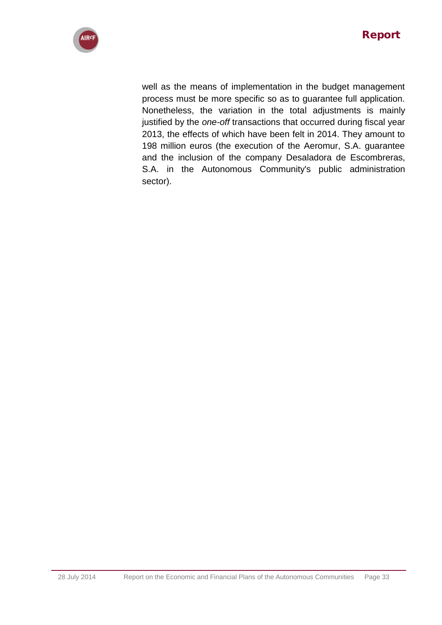

well as the means of implementation in the budget management process must be more specific so as to guarantee full application. Nonetheless, the variation in the total adjustments is mainly justified by the *one-off* transactions that occurred during fiscal year 2013, the effects of which have been felt in 2014. They amount to 198 million euros (the execution of the Aeromur, S.A. guarantee and the inclusion of the company Desaladora de Escombreras, S.A. in the Autonomous Community's public administration sector).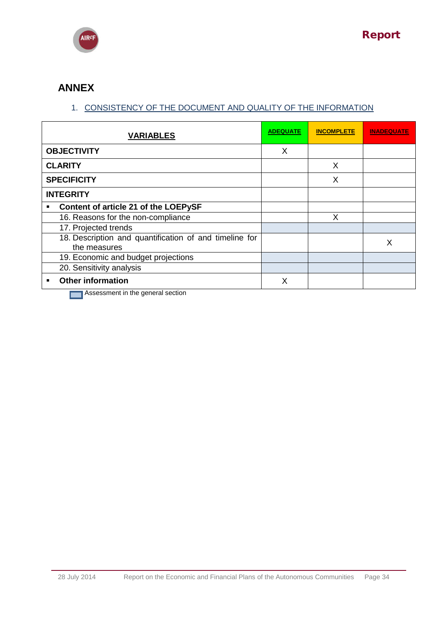

# **ANNEX**

# 1. CONSISTENCY OF THE DOCUMENT AND QUALITY OF THE INFORMATION

|   | <b>VARIABLES</b>                                                           | <b>ADEQUATE</b> | <b>INCOMPLETE</b> | <b>INADEQUATE</b> |
|---|----------------------------------------------------------------------------|-----------------|-------------------|-------------------|
|   | <b>OBJECTIVITY</b>                                                         | X               |                   |                   |
|   | <b>CLARITY</b>                                                             |                 | $\times$          |                   |
|   | <b>SPECIFICITY</b>                                                         |                 | X                 |                   |
|   | <b>INTEGRITY</b>                                                           |                 |                   |                   |
| п | Content of article 21 of the LOEPySF                                       |                 |                   |                   |
|   | 16. Reasons for the non-compliance                                         |                 | X                 |                   |
|   | 17. Projected trends                                                       |                 |                   |                   |
|   | 18. Description and quantification of and timeline for<br>the measures     |                 |                   | X                 |
|   | 19. Economic and budget projections                                        |                 |                   |                   |
|   | 20. Sensitivity analysis                                                   |                 |                   |                   |
| ■ | <b>Other information</b><br>$\sim$ $\sim$ $\sim$ $\sim$ $\sim$<br>.<br>- - | X               |                   |                   |

**Assessment in the general section**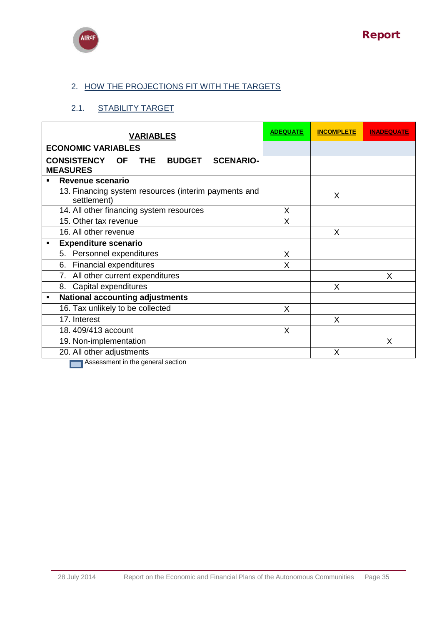



# 2. HOW THE PROJECTIONS FIT WITH THE TARGETS

# 2.1. STABILITY TARGET

| <b>VARIABLES</b>                                                                          | <b>ADEQUATE</b> | <b>INCOMPLETE</b> | <b>INADEQUATE</b> |
|-------------------------------------------------------------------------------------------|-----------------|-------------------|-------------------|
| <b>ECONOMIC VARIABLES</b>                                                                 |                 |                   |                   |
| THE.<br><b>CONSISTENCY</b><br><b>BUDGET</b><br><b>SCENARIO-</b><br>OF.<br><b>MEASURES</b> |                 |                   |                   |
| Revenue scenario                                                                          |                 |                   |                   |
| 13. Financing system resources (interim payments and<br>settlement)                       |                 | X                 |                   |
| 14. All other financing system resources                                                  | X               |                   |                   |
| 15. Other tax revenue                                                                     | X               |                   |                   |
| 16. All other revenue                                                                     |                 | X                 |                   |
| <b>Expenditure scenario</b><br>٠                                                          |                 |                   |                   |
| 5. Personnel expenditures                                                                 | X               |                   |                   |
| <b>Financial expenditures</b><br>6.                                                       | X               |                   |                   |
| 7. All other current expenditures                                                         |                 |                   | X                 |
| Capital expenditures<br>8.                                                                |                 | X                 |                   |
| <b>National accounting adjustments</b><br>$\blacksquare$                                  |                 |                   |                   |
| 16. Tax unlikely to be collected                                                          | X               |                   |                   |
| 17. Interest                                                                              |                 | X                 |                   |
| 18.409/413 account                                                                        | X               |                   |                   |
| 19. Non-implementation                                                                    |                 |                   | X                 |
| 20. All other adjustments                                                                 |                 | X                 |                   |
| <b>Example: Accaccmant in the nanaral caction</b>                                         |                 |                   |                   |

**Assessment in the general section**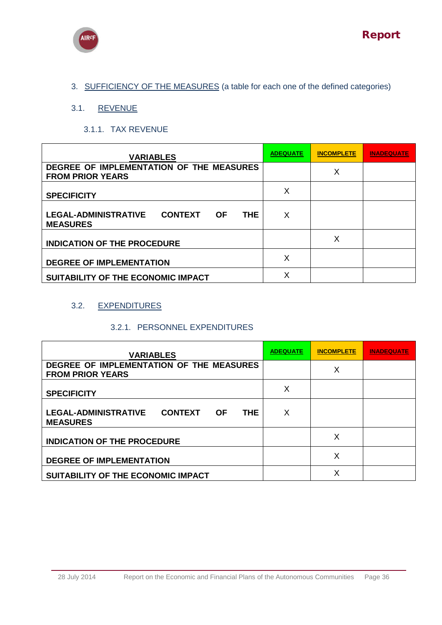



3. SUFFICIENCY OF THE MEASURES (a table for each one of the defined categories)

# 3.1. REVENUE

## 3.1.1. TAX REVENUE

| <b>VARIABLES</b>                                                                            | <b>ADEQUATE</b> | <b>INCOMPLETE</b> | <b>INADEQUATE</b> |
|---------------------------------------------------------------------------------------------|-----------------|-------------------|-------------------|
| DEGREE OF IMPLEMENTATION OF THE MEASURES<br><b>FROM PRIOR YEARS</b>                         |                 | Χ                 |                   |
| <b>SPECIFICITY</b>                                                                          | X               |                   |                   |
| <b>LEGAL-ADMINISTRATIVE</b><br><b>CONTEXT</b><br><b>OF</b><br><b>THE</b><br><b>MEASURES</b> | X               |                   |                   |
| <b>INDICATION OF THE PROCEDURE</b>                                                          |                 | х                 |                   |
| <b>DEGREE OF IMPLEMENTATION</b>                                                             | X               |                   |                   |
| SUITABILITY OF THE ECONOMIC IMPACT                                                          | X               |                   |                   |

# 3.2. EXPENDITURES

### 3.2.1. PERSONNEL EXPENDITURES

| <b>VARIABLES</b>                                                                            | <b>ADEQUATE</b> | <b>INCOMPLETE</b> | INADEQUATE |
|---------------------------------------------------------------------------------------------|-----------------|-------------------|------------|
| DEGREE OF IMPLEMENTATION OF THE MEASURES<br><b>FROM PRIOR YEARS</b>                         |                 | X                 |            |
| <b>SPECIFICITY</b>                                                                          | X               |                   |            |
| <b>LEGAL-ADMINISTRATIVE</b><br><b>CONTEXT</b><br><b>OF</b><br><b>THE</b><br><b>MEASURES</b> | X               |                   |            |
| <b>INDICATION OF THE PROCEDURE</b>                                                          |                 | Χ                 |            |
| <b>DEGREE OF IMPLEMENTATION</b>                                                             |                 | x                 |            |
| SUITABILITY OF THE ECONOMIC IMPACT                                                          |                 | X                 |            |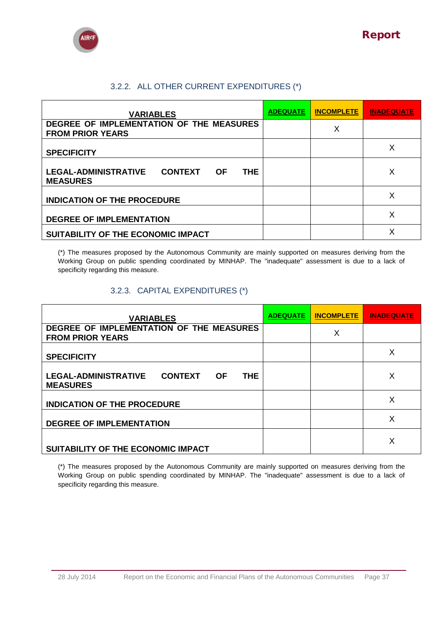



# 3.2.2. ALL OTHER CURRENT EXPENDITURES (\*)

| <b>VARIABLES</b>                                                                      | <b>ADEQUATE</b> | <b>INCOMPLETE</b> | <b>INADEQUATE</b> |
|---------------------------------------------------------------------------------------|-----------------|-------------------|-------------------|
| DEGREE OF IMPLEMENTATION OF THE MEASURES<br><b>FROM PRIOR YEARS</b>                   |                 | X                 |                   |
| <b>SPECIFICITY</b>                                                                    |                 |                   | Χ                 |
| <b>LEGAL-ADMINISTRATIVE</b><br><b>CONTEXT</b><br><b>OF</b><br>THE.<br><b>MEASURES</b> |                 |                   | X                 |
| <b>INDICATION OF THE PROCEDURE</b>                                                    |                 |                   | X                 |
| <b>DEGREE OF IMPLEMENTATION</b>                                                       |                 |                   | X                 |
| SUITABILITY OF THE ECONOMIC IMPACT                                                    |                 |                   |                   |

(\*) The measures proposed by the Autonomous Community are mainly supported on measures deriving from the Working Group on public spending coordinated by MINHAP. The "inadequate" assessment is due to a lack of specificity regarding this measure.

### 3.2.3. CAPITAL EXPENDITURES (\*)

| <b>VARIABLES</b>                                                           | <b>ADEQUATE</b> | <b>INCOMPLETE</b> | <b>INADEQUATE</b> |
|----------------------------------------------------------------------------|-----------------|-------------------|-------------------|
| DEGREE OF IMPLEMENTATION OF THE MEASURES<br><b>FROM PRIOR YEARS</b>        |                 | Χ                 |                   |
| <b>SPECIFICITY</b>                                                         |                 |                   | X                 |
| LEGAL-ADMINISTRATIVE CONTEXT<br><b>THE</b><br><b>OF</b><br><b>MEASURES</b> |                 |                   | X                 |
| <b>INDICATION OF THE PROCEDURE</b>                                         |                 |                   | X                 |
| <b>DEGREE OF IMPLEMENTATION</b>                                            |                 |                   | X                 |
| SUITABILITY OF THE ECONOMIC IMPACT                                         |                 |                   | Χ                 |

(\*) The measures proposed by the Autonomous Community are mainly supported on measures deriving from the Working Group on public spending coordinated by MINHAP. The "inadequate" assessment is due to a lack of specificity regarding this measure.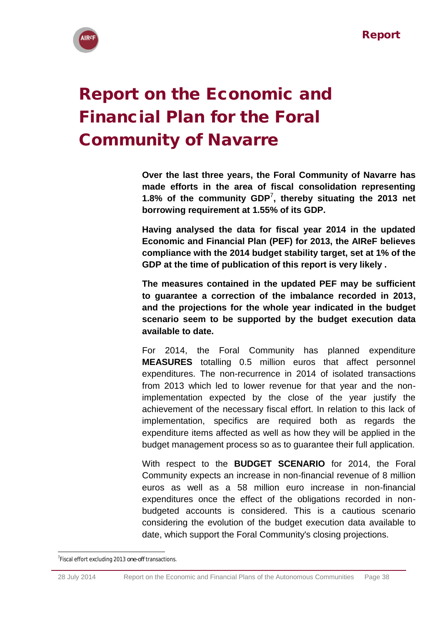

# <span id="page-37-0"></span>Report on the Economic and Financial Plan for the Foral Community of Navarre

**Over the last three years, the Foral Community of Navarre has made efforts in the area of fiscal consolidation representing 1.8% of the community GDP**<sup>7</sup> **, thereby situating the 2013 net borrowing requirement at 1.55% of its GDP.**

**Having analysed the data for fiscal year 2014 in the updated Economic and Financial Plan (PEF) for 2013, the AIReF believes compliance with the 2014 budget stability target, set at 1% of the GDP at the time of publication of this report is very likely .** 

**The measures contained in the updated PEF may be sufficient to guarantee a correction of the imbalance recorded in 2013, and the projections for the whole year indicated in the budget scenario seem to be supported by the budget execution data available to date.**

For 2014, the Foral Community has planned expenditure **MEASURES** totalling 0.5 million euros that affect personnel expenditures. The non-recurrence in 2014 of isolated transactions from 2013 which led to lower revenue for that year and the nonimplementation expected by the close of the year justify the achievement of the necessary fiscal effort. In relation to this lack of implementation, specifics are required both as regards the expenditure items affected as well as how they will be applied in the budget management process so as to guarantee their full application.

With respect to the **BUDGET SCENARIO** for 2014, the Foral Community expects an increase in non-financial revenue of 8 million euros as well as a 58 million euro increase in non-financial expenditures once the effect of the obligations recorded in nonbudgeted accounts is considered. This is a cautious scenario considering the evolution of the budget execution data available to date, which support the Foral Community's closing projections.

**<sup>.</sup>** 7 Fiscal effort excluding 2013 *one-off* transactions.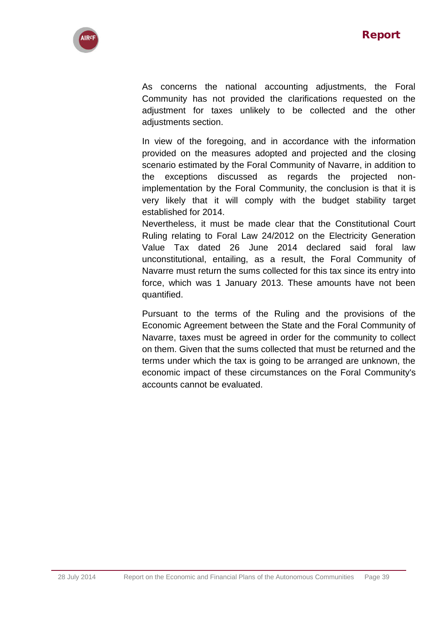

As concerns the national accounting adjustments, the Foral Community has not provided the clarifications requested on the adjustment for taxes unlikely to be collected and the other adjustments section.

In view of the foregoing, and in accordance with the information provided on the measures adopted and projected and the closing scenario estimated by the Foral Community of Navarre, in addition to the exceptions discussed as regards the projected nonimplementation by the Foral Community, the conclusion is that it is very likely that it will comply with the budget stability target established for 2014.

Nevertheless, it must be made clear that the Constitutional Court Ruling relating to Foral Law 24/2012 on the Electricity Generation Value Tax dated 26 June 2014 declared said foral law unconstitutional, entailing, as a result, the Foral Community of Navarre must return the sums collected for this tax since its entry into force, which was 1 January 2013. These amounts have not been quantified.

Pursuant to the terms of the Ruling and the provisions of the Economic Agreement between the State and the Foral Community of Navarre, taxes must be agreed in order for the community to collect on them. Given that the sums collected that must be returned and the terms under which the tax is going to be arranged are unknown, the economic impact of these circumstances on the Foral Community's accounts cannot be evaluated.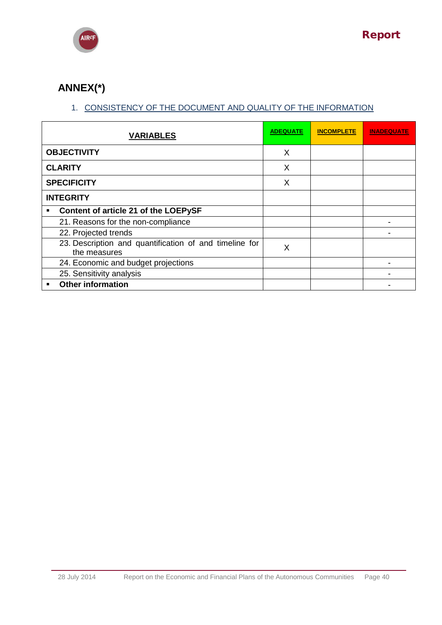

# **ANNEX(\*)**

# 1. CONSISTENCY OF THE DOCUMENT AND QUALITY OF THE INFORMATION

|   | <b>VARIABLES</b>                                                       | <b>ADEQUATE</b> | <b>INCOMPLETE</b> | <b>INADEQUATE</b> |
|---|------------------------------------------------------------------------|-----------------|-------------------|-------------------|
|   | <b>OBJECTIVITY</b>                                                     | X               |                   |                   |
|   | <b>CLARITY</b>                                                         | X               |                   |                   |
|   | <b>SPECIFICITY</b>                                                     | X               |                   |                   |
|   | <b>INTEGRITY</b>                                                       |                 |                   |                   |
| п | Content of article 21 of the LOEPySF                                   |                 |                   |                   |
|   | 21. Reasons for the non-compliance                                     |                 |                   |                   |
|   | 22. Projected trends                                                   |                 |                   |                   |
|   | 23. Description and quantification of and timeline for<br>the measures | X               |                   |                   |
|   | 24. Economic and budget projections                                    |                 |                   |                   |
|   | 25. Sensitivity analysis                                               |                 |                   |                   |
| ■ | <b>Other information</b>                                               |                 |                   |                   |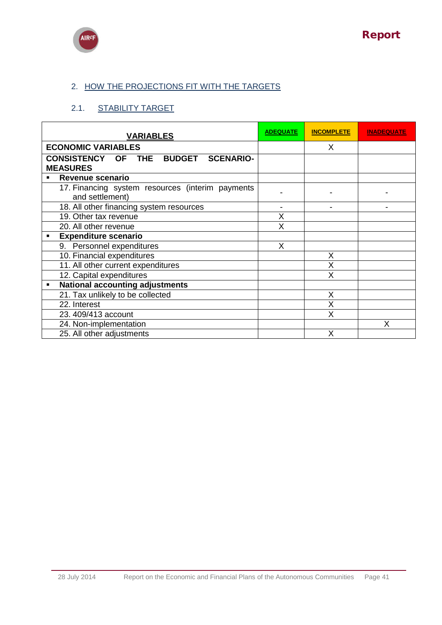



# 2. HOW THE PROJECTIONS FIT WITH THE TARGETS

# 2.1. STABILITY TARGET

| <b>VARIABLES</b>                                                    | <b>ADEQUATE</b> | <b>INCOMPLETE</b> | <b>INADEQUATE</b> |
|---------------------------------------------------------------------|-----------------|-------------------|-------------------|
| <b>ECONOMIC VARIABLES</b>                                           |                 | X                 |                   |
| CONSISTENCY OF THE BUDGET<br><b>SCENARIO-</b><br><b>MEASURES</b>    |                 |                   |                   |
| Revenue scenario<br>$\blacksquare$                                  |                 |                   |                   |
| 17. Financing system resources (interim payments<br>and settlement) |                 |                   |                   |
| 18. All other financing system resources                            |                 |                   |                   |
| 19. Other tax revenue                                               | X               |                   |                   |
| 20. All other revenue                                               | X               |                   |                   |
| <b>Expenditure scenario</b><br>$\blacksquare$                       |                 |                   |                   |
| 9. Personnel expenditures                                           | X               |                   |                   |
| 10. Financial expenditures                                          |                 | Χ                 |                   |
| 11. All other current expenditures                                  |                 |                   |                   |
| 12. Capital expenditures                                            |                 | X                 |                   |
| <b>National accounting adjustments</b><br>$\blacksquare$            |                 |                   |                   |
| 21. Tax unlikely to be collected                                    |                 | X                 |                   |
| 22. Interest                                                        |                 | Χ                 |                   |
| 23. 409/413 account                                                 |                 | Χ                 |                   |
| 24. Non-implementation                                              |                 |                   | χ                 |
| 25. All other adjustments                                           |                 | X                 |                   |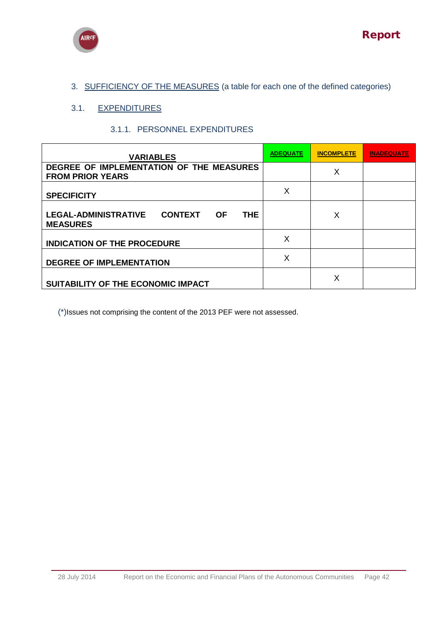

# 3. SUFFICIENCY OF THE MEASURES (a table for each one of the defined categories)

# 3.1. EXPENDITURES

### 3.1.1. PERSONNEL EXPENDITURES

| <b>VARIABLES</b>                                                                            | <b>ADEQUATE</b> | <b>INCOMPLETE</b> | <b>INADEQUATE</b> |
|---------------------------------------------------------------------------------------------|-----------------|-------------------|-------------------|
| DEGREE OF IMPLEMENTATION OF THE MEASURES<br><b>FROM PRIOR YEARS</b>                         |                 | Х                 |                   |
| <b>SPECIFICITY</b>                                                                          | X               |                   |                   |
| <b>LEGAL-ADMINISTRATIVE</b><br><b>CONTEXT</b><br><b>THE</b><br><b>OF</b><br><b>MEASURES</b> |                 | X                 |                   |
| <b>INDICATION OF THE PROCEDURE</b>                                                          | X               |                   |                   |
| <b>DEGREE OF IMPLEMENTATION</b>                                                             | X               |                   |                   |
| SUITABILITY OF THE ECONOMIC IMPACT                                                          |                 | X                 |                   |

(\*)Issues not comprising the content of the 2013 PEF were not assessed.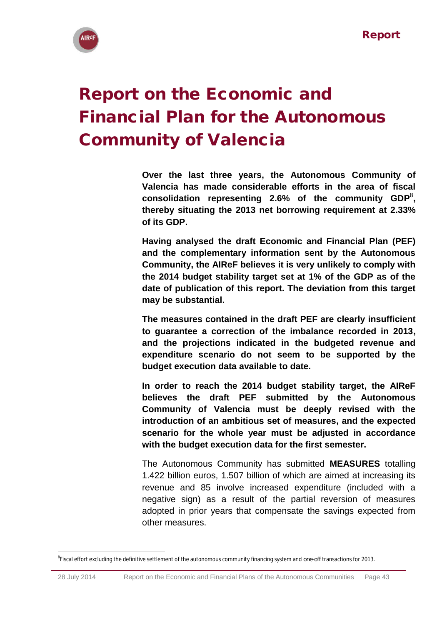

**.** 

# <span id="page-42-0"></span>Report on the Economic and Financial Plan for the Autonomous Community of Valencia

**Over the last three years, the Autonomous Community of Valencia has made considerable efforts in the area of fiscal consolidation representing 2.6% of the community GDP**<sup>8</sup> **, thereby situating the 2013 net borrowing requirement at 2.33% of its GDP.**

**Having analysed the draft Economic and Financial Plan (PEF) and the complementary information sent by the Autonomous Community, the AIReF believes it is very unlikely to comply with the 2014 budget stability target set at 1% of the GDP as of the date of publication of this report. The deviation from this target may be substantial.** 

**The measures contained in the draft PEF are clearly insufficient to guarantee a correction of the imbalance recorded in 2013, and the projections indicated in the budgeted revenue and expenditure scenario do not seem to be supported by the budget execution data available to date.**

**In order to reach the 2014 budget stability target, the AIReF believes the draft PEF submitted by the Autonomous Community of Valencia must be deeply revised with the introduction of an ambitious set of measures, and the expected scenario for the whole year must be adjusted in accordance with the budget execution data for the first semester.**

The Autonomous Community has submitted **MEASURES** totalling 1.422 billion euros, 1.507 billion of which are aimed at increasing its revenue and 85 involve increased expenditure (included with a negative sign) as a result of the partial reversion of measures adopted in prior years that compensate the savings expected from other measures.

<sup>8</sup> Fiscal effort excluding the definitive settlement of the autonomous community financing system and *one-off* transactions for 2013.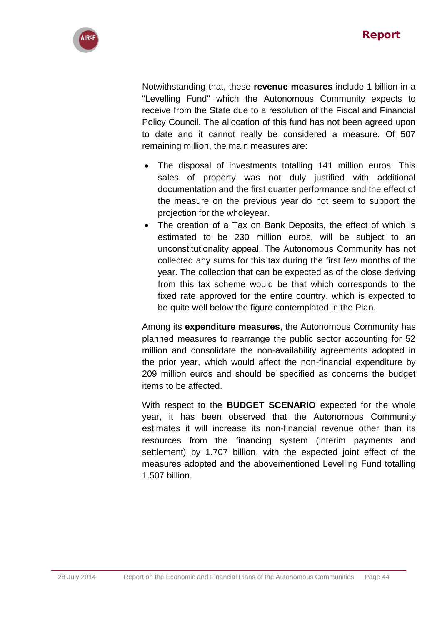

Notwithstanding that, these **revenue measures** include 1 billion in a "Levelling Fund" which the Autonomous Community expects to receive from the State due to a resolution of the Fiscal and Financial Policy Council. The allocation of this fund has not been agreed upon to date and it cannot really be considered a measure. Of 507 remaining million, the main measures are:

- The disposal of investments totalling 141 million euros. This sales of property was not duly justified with additional documentation and the first quarter performance and the effect of the measure on the previous year do not seem to support the projection for the wholeyear.
- The creation of a Tax on Bank Deposits, the effect of which is estimated to be 230 million euros, will be subject to an unconstitutionality appeal. The Autonomous Community has not collected any sums for this tax during the first few months of the year. The collection that can be expected as of the close deriving from this tax scheme would be that which corresponds to the fixed rate approved for the entire country, which is expected to be quite well below the figure contemplated in the Plan.

Among its **expenditure measures**, the Autonomous Community has planned measures to rearrange the public sector accounting for 52 million and consolidate the non-availability agreements adopted in the prior year, which would affect the non-financial expenditure by 209 million euros and should be specified as concerns the budget items to be affected.

With respect to the **BUDGET SCENARIO** expected for the whole year, it has been observed that the Autonomous Community estimates it will increase its non-financial revenue other than its resources from the financing system (interim payments and settlement) by 1.707 billion, with the expected joint effect of the measures adopted and the abovementioned Levelling Fund totalling 1.507 billion.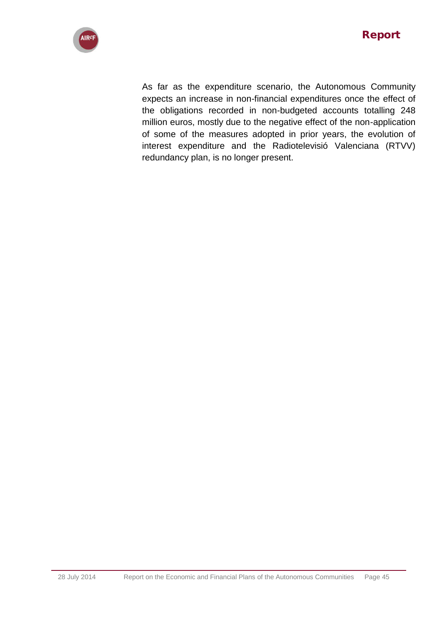

As far as the expenditure scenario, the Autonomous Community expects an increase in non-financial expenditures once the effect of the obligations recorded in non-budgeted accounts totalling 248 million euros, mostly due to the negative effect of the non-application of some of the measures adopted in prior years, the evolution of interest expenditure and the Radiotelevisió Valenciana (RTVV) redundancy plan, is no longer present.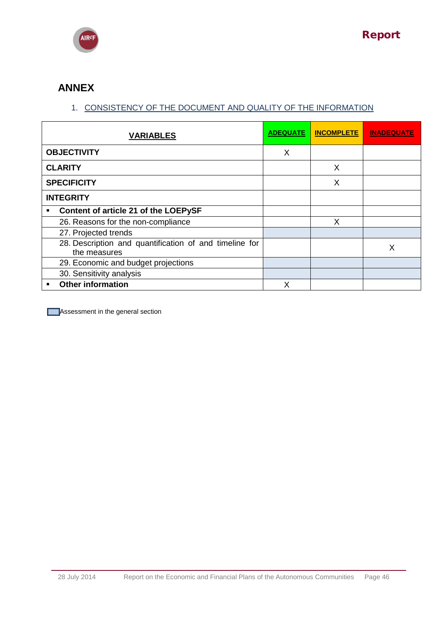

# **ANNEX**

# 1. CONSISTENCY OF THE DOCUMENT AND QUALITY OF THE INFORMATION

|   | <b>VARIABLES</b>                                                       | <b>ADEQUATE</b> | <b>INCOMPLETE</b> | <b>INADEQUATE</b> |
|---|------------------------------------------------------------------------|-----------------|-------------------|-------------------|
|   | <b>OBJECTIVITY</b>                                                     | X               |                   |                   |
|   | <b>CLARITY</b>                                                         |                 | X                 |                   |
|   | <b>SPECIFICITY</b>                                                     |                 | X                 |                   |
|   | <b>INTEGRITY</b>                                                       |                 |                   |                   |
| ٠ | Content of article 21 of the LOEPySF                                   |                 |                   |                   |
|   | 26. Reasons for the non-compliance                                     |                 | X                 |                   |
|   | 27. Projected trends                                                   |                 |                   |                   |
|   | 28. Description and quantification of and timeline for<br>the measures |                 |                   | Х                 |
|   | 29. Economic and budget projections                                    |                 |                   |                   |
|   | 30. Sensitivity analysis                                               |                 |                   |                   |
| ٠ | <b>Other information</b>                                               | Χ               |                   |                   |

**Assessment in the general section**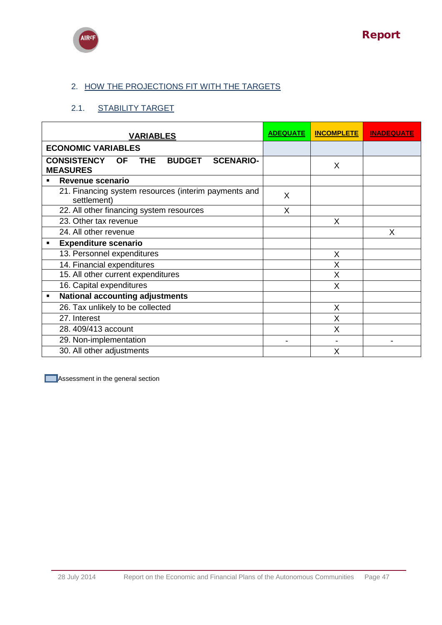



# 2. HOW THE PROJECTIONS FIT WITH THE TARGETS

# 2.1. STABILITY TARGET

| <b>VARIABLES</b>                                                                                      | <b>ADEQUATE</b> | <b>INCOMPLETE</b> | <b>INADEQUATE</b> |
|-------------------------------------------------------------------------------------------------------|-----------------|-------------------|-------------------|
| <b>ECONOMIC VARIABLES</b>                                                                             |                 |                   |                   |
| <b>THE</b><br><b>CONSISTENCY</b><br><b>BUDGET</b><br><b>SCENARIO-</b><br><b>OF</b><br><b>MEASURES</b> |                 | X                 |                   |
| Revenue scenario<br>$\blacksquare$                                                                    |                 |                   |                   |
| 21. Financing system resources (interim payments and<br>settlement)                                   | X               |                   |                   |
| 22. All other financing system resources                                                              | X               |                   |                   |
| 23. Other tax revenue                                                                                 |                 | X                 |                   |
| 24. All other revenue                                                                                 |                 |                   | X                 |
| <b>Expenditure scenario</b><br>٠                                                                      |                 |                   |                   |
| 13. Personnel expenditures                                                                            |                 | X                 |                   |
| 14. Financial expenditures                                                                            |                 | X                 |                   |
| 15. All other current expenditures                                                                    |                 | X                 |                   |
| 16. Capital expenditures                                                                              |                 | X                 |                   |
| <b>National accounting adjustments</b>                                                                |                 |                   |                   |
| 26. Tax unlikely to be collected                                                                      |                 | X                 |                   |
| 27. Interest                                                                                          |                 | X                 |                   |
| 28.409/413 account                                                                                    |                 | X                 |                   |
| 29. Non-implementation                                                                                |                 |                   |                   |
| 30. All other adjustments                                                                             |                 | X                 |                   |

**Assessment in the general section**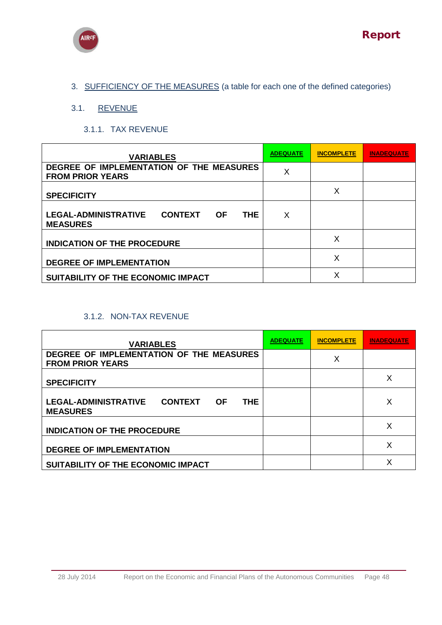



3. SUFFICIENCY OF THE MEASURES (a table for each one of the defined categories)

# 3.1. REVENUE

## 3.1.1. TAX REVENUE

| <b>VARIABLES</b>                                                                            | <b>ADEQUATE</b> | <b>INCOMPLETE</b> | <b>INADEQUATE</b> |
|---------------------------------------------------------------------------------------------|-----------------|-------------------|-------------------|
| DEGREE OF IMPLEMENTATION OF THE MEASURES<br><b>FROM PRIOR YEARS</b>                         | X               |                   |                   |
| <b>SPECIFICITY</b>                                                                          |                 | Χ                 |                   |
| <b>LEGAL-ADMINISTRATIVE</b><br><b>CONTEXT</b><br><b>THE</b><br><b>OF</b><br><b>MEASURES</b> | X               |                   |                   |
| <b>INDICATION OF THE PROCEDURE</b>                                                          |                 | Х                 |                   |
| <b>DEGREE OF IMPLEMENTATION</b>                                                             |                 | Х                 |                   |
| SUITABILITY OF THE ECONOMIC IMPACT                                                          |                 | X                 |                   |

## 3.1.2. NON-TAX REVENUE

| <b>VARIABLES</b>                                                                            | <b>ADEQUATE</b> | <b>INCOMPLETE</b> | <b>INADEQUATE</b> |
|---------------------------------------------------------------------------------------------|-----------------|-------------------|-------------------|
| DEGREE OF IMPLEMENTATION OF THE MEASURES<br><b>FROM PRIOR YEARS</b>                         |                 | Χ                 |                   |
| <b>SPECIFICITY</b>                                                                          |                 |                   | Χ                 |
| <b>LEGAL-ADMINISTRATIVE</b><br><b>THE</b><br><b>CONTEXT</b><br><b>OF</b><br><b>MEASURES</b> |                 |                   | Х                 |
| <b>INDICATION OF THE PROCEDURE</b>                                                          |                 |                   | х                 |
| <b>DEGREE OF IMPLEMENTATION</b>                                                             |                 |                   | х                 |
| SUITABILITY OF THE ECONOMIC IMPACT                                                          |                 |                   | Χ                 |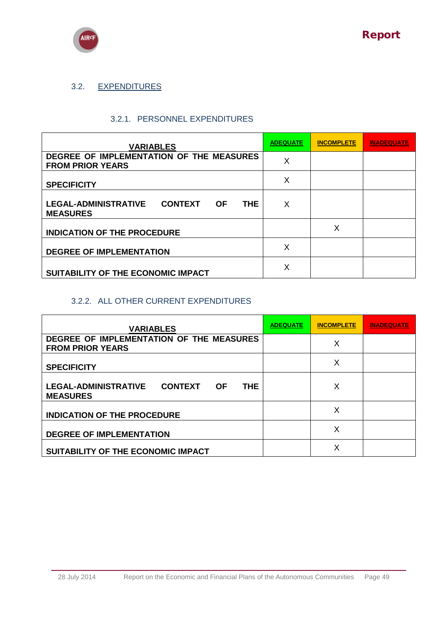

# 3.2. EXPENDITURES

### 3.2.1. PERSONNEL EXPENDITURES

| <b>VARIABLES</b>                                                                            | <b>ADEQUATE</b> | <b>INCOMPLETE</b> | INADEQUATE |
|---------------------------------------------------------------------------------------------|-----------------|-------------------|------------|
| DEGREE OF IMPLEMENTATION OF THE MEASURES<br><b>FROM PRIOR YEARS</b>                         | X               |                   |            |
| <b>SPECIFICITY</b>                                                                          | X               |                   |            |
| <b>LEGAL-ADMINISTRATIVE</b><br><b>CONTEXT</b><br><b>THE</b><br><b>OF</b><br><b>MEASURES</b> | X               |                   |            |
| <b>INDICATION OF THE PROCEDURE</b>                                                          |                 | X                 |            |
| <b>DEGREE OF IMPLEMENTATION</b>                                                             | X               |                   |            |
| SUITABILITY OF THE ECONOMIC IMPACT                                                          | X               |                   |            |

### 3.2.2. ALL OTHER CURRENT EXPENDITURES

| <b>VARIABLES</b>                                                                            | <b>ADEQUATE</b> | <b>INCOMPLETE</b> | <b>INADEQUATE</b> |
|---------------------------------------------------------------------------------------------|-----------------|-------------------|-------------------|
| DEGREE OF IMPLEMENTATION OF THE MEASURES<br><b>FROM PRIOR YEARS</b>                         |                 | X                 |                   |
| <b>SPECIFICITY</b>                                                                          |                 | X                 |                   |
| <b>LEGAL-ADMINISTRATIVE</b><br><b>CONTEXT</b><br><b>THE</b><br><b>OF</b><br><b>MEASURES</b> |                 | Х                 |                   |
| <b>INDICATION OF THE PROCEDURE</b>                                                          |                 | X                 |                   |
| <b>DEGREE OF IMPLEMENTATION</b>                                                             |                 | X                 |                   |
| SUITABILITY OF THE ECONOMIC IMPACT                                                          |                 | X                 |                   |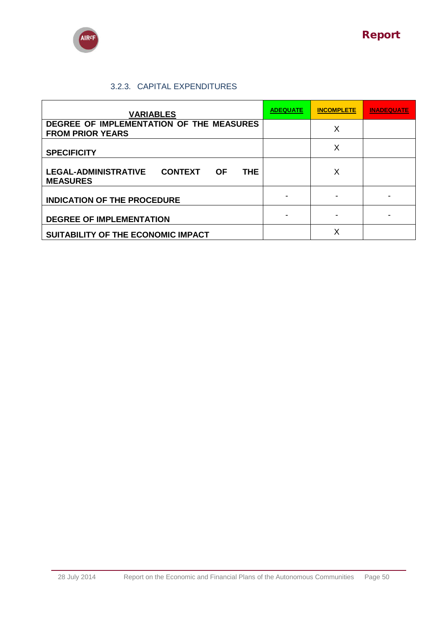



## 3.2.3. CAPITAL EXPENDITURES

| <b>VARIABLES</b>                                                                      | <b>ADEQUATE</b> | <b>INCOMPLETE</b> | <b>INADEQUATE</b> |
|---------------------------------------------------------------------------------------|-----------------|-------------------|-------------------|
| DEGREE OF IMPLEMENTATION OF THE MEASURES<br><b>FROM PRIOR YEARS</b>                   |                 | Х                 |                   |
| <b>SPECIFICITY</b>                                                                    |                 | X                 |                   |
| <b>LEGAL-ADMINISTRATIVE</b><br><b>CONTEXT</b><br>THE.<br><b>OF</b><br><b>MEASURES</b> |                 | X                 |                   |
| <b>INDICATION OF THE PROCEDURE</b>                                                    |                 |                   |                   |
| <b>DEGREE OF IMPLEMENTATION</b>                                                       |                 |                   |                   |
| SUITABILITY OF THE ECONOMIC IMPACT                                                    |                 | X                 |                   |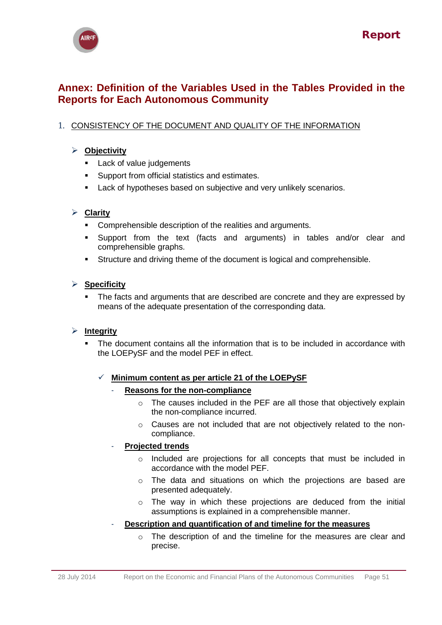

# <span id="page-50-0"></span>**Annex: Definition of the Variables Used in the Tables Provided in the Reports for Each Autonomous Community**

# 1. CONSISTENCY OF THE DOCUMENT AND QUALITY OF THE INFORMATION

## **Objectivity**

- **Lack of value judgements**
- Support from official statistics and estimates.
- **Lack of hypotheses based on subjective and very unlikely scenarios.**

### **Clarity**

- Comprehensible description of the realities and arguments.
- Support from the text (facts and arguments) in tables and/or clear and comprehensible graphs.
- Structure and driving theme of the document is logical and comprehensible.

### **Specificity**

 The facts and arguments that are described are concrete and they are expressed by means of the adequate presentation of the corresponding data.

### **Integrity**

 The document contains all the information that is to be included in accordance with the LOEPySF and the model PEF in effect.

### $\checkmark$  Minimum content as per article 21 of the LOEPySF

#### - **Reasons for the non-compliance**

- o The causes included in the PEF are all those that objectively explain the non-compliance incurred.
- o Causes are not included that are not objectively related to the noncompliance.

### - **Projected trends**

- o Included are projections for all concepts that must be included in accordance with the model PEF.
- o The data and situations on which the projections are based are presented adequately.
- o The way in which these projections are deduced from the initial assumptions is explained in a comprehensible manner.
- **Description and quantification of and timeline for the measures**
	- o The description of and the timeline for the measures are clear and precise.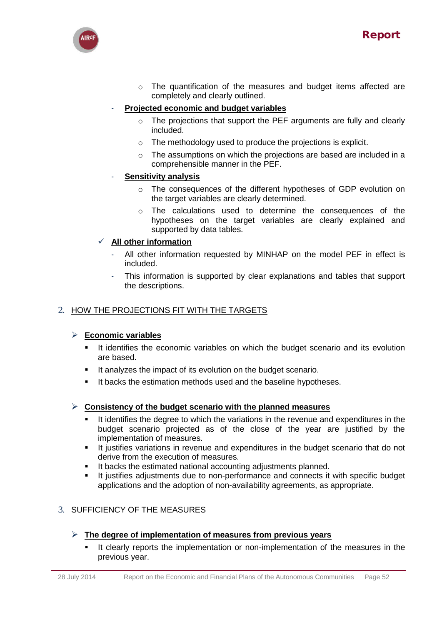

o The quantification of the measures and budget items affected are completely and clearly outlined.

## - **Projected economic and budget variables**

- o The projections that support the PEF arguments are fully and clearly included.
- o The methodology used to produce the projections is explicit.
- $\circ$  The assumptions on which the projections are based are included in a comprehensible manner in the PEF.

### - **Sensitivity analysis**

- o The consequences of the different hypotheses of GDP evolution on the target variables are clearly determined.
- o The calculations used to determine the consequences of the hypotheses on the target variables are clearly explained and supported by data tables.

## **All other information**

- All other information requested by MINHAP on the model PEF in effect is included.
- This information is supported by clear explanations and tables that support the descriptions.

## 2. HOW THE PROJECTIONS FIT WITH THE TARGETS

### **Economic variables**

- It identifies the economic variables on which the budget scenario and its evolution are based.
- It analyzes the impact of its evolution on the budget scenario.
- It backs the estimation methods used and the baseline hypotheses.

### **Consistency of the budget scenario with the planned measures**

- It identifies the degree to which the variations in the revenue and expenditures in the budget scenario projected as of the close of the year are justified by the implementation of measures.
- It justifies variations in revenue and expenditures in the budget scenario that do not derive from the execution of measures.
- It backs the estimated national accounting adjustments planned.
- It justifies adjustments due to non-performance and connects it with specific budget applications and the adoption of non-availability agreements, as appropriate.

# 3. SUFFICIENCY OF THE MEASURES

### **The degree of implementation of measures from previous years**

 It clearly reports the implementation or non-implementation of the measures in the previous year.